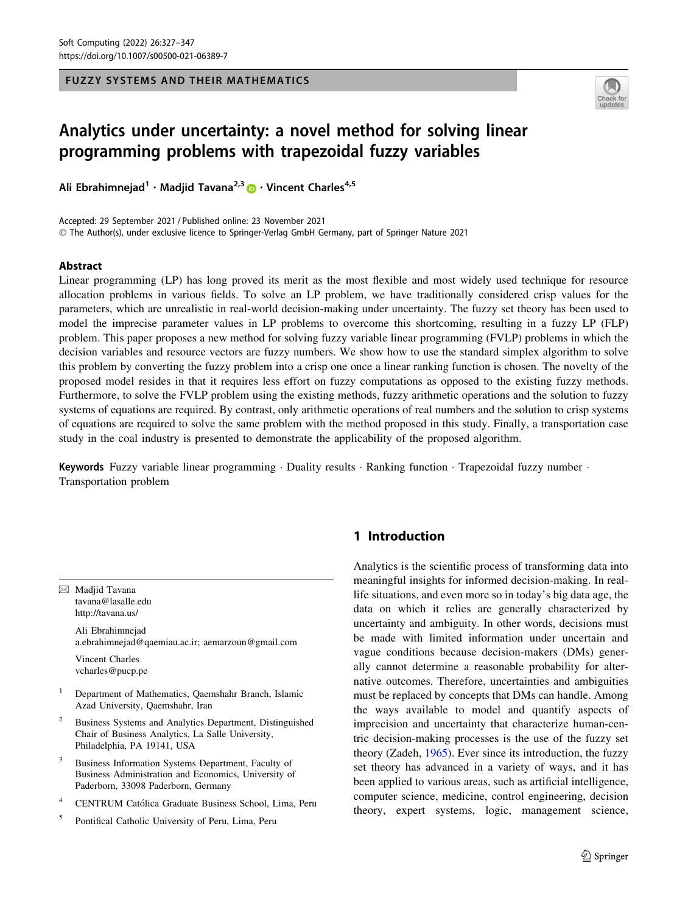FUZZY SYSTEMS AND THEIR MATHEMATICS



# Analytics under uncertainty: a novel method for solving linear programming problems with trapezoidal fuzzy variables

Ali Ebrahimnejad<sup>1</sup> · Madjid Tavana<sup>2,3</sup> • Vincent Charles<sup>4,5</sup>

Accepted: 29 September 2021 / Published online: 23 November 2021 - The Author(s), under exclusive licence to Springer-Verlag GmbH Germany, part of Springer Nature 2021

### Abstract

Linear programming (LP) has long proved its merit as the most flexible and most widely used technique for resource allocation problems in various fields. To solve an LP problem, we have traditionally considered crisp values for the parameters, which are unrealistic in real-world decision-making under uncertainty. The fuzzy set theory has been used to model the imprecise parameter values in LP problems to overcome this shortcoming, resulting in a fuzzy LP (FLP) problem. This paper proposes a new method for solving fuzzy variable linear programming (FVLP) problems in which the decision variables and resource vectors are fuzzy numbers. We show how to use the standard simplex algorithm to solve this problem by converting the fuzzy problem into a crisp one once a linear ranking function is chosen. The novelty of the proposed model resides in that it requires less effort on fuzzy computations as opposed to the existing fuzzy methods. Furthermore, to solve the FVLP problem using the existing methods, fuzzy arithmetic operations and the solution to fuzzy systems of equations are required. By contrast, only arithmetic operations of real numbers and the solution to crisp systems of equations are required to solve the same problem with the method proposed in this study. Finally, a transportation case study in the coal industry is presented to demonstrate the applicability of the proposed algorithm.

Keywords Fuzzy variable linear programming · Duality results · Ranking function · Trapezoidal fuzzy number · Transportation problem

 $\boxtimes$  Madjid Tavana tavana@lasalle.edu http://tavana.us/

> Ali Ebrahimnejad a.ebrahimnejad@qaemiau.ac.ir; aemarzoun@gmail.com

Vincent Charles vcharles@pucp.pe

- <sup>1</sup> Department of Mathematics, Qaemshahr Branch, Islamic Azad University, Qaemshahr, Iran
- <sup>2</sup> Business Systems and Analytics Department, Distinguished Chair of Business Analytics, La Salle University, Philadelphia, PA 19141, USA
- Business Information Systems Department, Faculty of Business Administration and Economics, University of Paderborn, 33098 Paderborn, Germany
- <sup>4</sup> CENTRUM Católica Graduate Business School, Lima, Peru
- <sup>5</sup> Pontifical Catholic University of Peru, Lima, Peru

# 1 Introduction

Analytics is the scientific process of transforming data into meaningful insights for informed decision-making. In reallife situations, and even more so in today's big data age, the data on which it relies are generally characterized by uncertainty and ambiguity. In other words, decisions must be made with limited information under uncertain and vague conditions because decision-makers (DMs) generally cannot determine a reasonable probability for alternative outcomes. Therefore, uncertainties and ambiguities must be replaced by concepts that DMs can handle. Among the ways available to model and quantify aspects of imprecision and uncertainty that characterize human-centric decision-making processes is the use of the fuzzy set theory (Zadeh, [1965\)](#page-20-0). Ever since its introduction, the fuzzy set theory has advanced in a variety of ways, and it has been applied to various areas, such as artificial intelligence, computer science, medicine, control engineering, decision theory, expert systems, logic, management science,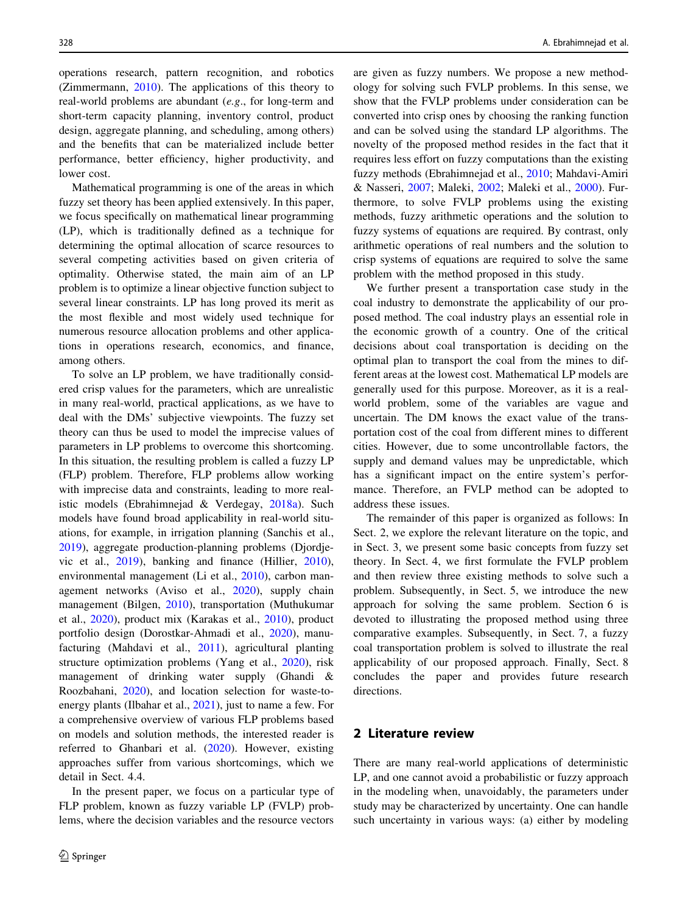operations research, pattern recognition, and robotics (Zimmermann, [2010\)](#page-20-0). The applications of this theory to real-world problems are abundant (e.g., for long-term and short-term capacity planning, inventory control, product design, aggregate planning, and scheduling, among others) and the benefits that can be materialized include better performance, better efficiency, higher productivity, and lower cost.

Mathematical programming is one of the areas in which fuzzy set theory has been applied extensively. In this paper, we focus specifically on mathematical linear programming (LP), which is traditionally defined as a technique for determining the optimal allocation of scarce resources to several competing activities based on given criteria of optimality. Otherwise stated, the main aim of an LP problem is to optimize a linear objective function subject to several linear constraints. LP has long proved its merit as the most flexible and most widely used technique for numerous resource allocation problems and other applications in operations research, economics, and finance, among others.

To solve an LP problem, we have traditionally considered crisp values for the parameters, which are unrealistic in many real-world, practical applications, as we have to deal with the DMs' subjective viewpoints. The fuzzy set theory can thus be used to model the imprecise values of parameters in LP problems to overcome this shortcoming. In this situation, the resulting problem is called a fuzzy LP (FLP) problem. Therefore, FLP problems allow working with imprecise data and constraints, leading to more realistic models (Ebrahimnejad & Verdegay, [2018a\)](#page-19-0). Such models have found broad applicability in real-world situations, for example, in irrigation planning (Sanchis et al., [2019\)](#page-20-0), aggregate production-planning problems (Djordjevic et al., [2019](#page-18-0)), banking and finance (Hillier, [2010](#page-19-0)), environmental management (Li et al., [2010\)](#page-19-0), carbon management networks (Aviso et al., [2020\)](#page-18-0), supply chain management (Bilgen, [2010\)](#page-18-0), transportation (Muthukumar et al., [2020](#page-19-0)), product mix (Karakas et al., [2010\)](#page-19-0), product portfolio design (Dorostkar-Ahmadi et al., [2020](#page-18-0)), manufacturing (Mahdavi et al., [2011](#page-19-0)), agricultural planting structure optimization problems (Yang et al., [2020](#page-20-0)), risk management of drinking water supply (Ghandi & Roozbahani, [2020](#page-19-0)), and location selection for waste-toenergy plants (Ilbahar et al., [2021](#page-19-0)), just to name a few. For a comprehensive overview of various FLP problems based on models and solution methods, the interested reader is referred to Ghanbari et al. ([2020\)](#page-19-0). However, existing approaches suffer from various shortcomings, which we detail in Sect. 4.4.

In the present paper, we focus on a particular type of FLP problem, known as fuzzy variable LP (FVLP) problems, where the decision variables and the resource vectors are given as fuzzy numbers. We propose a new methodology for solving such FVLP problems. In this sense, we show that the FVLP problems under consideration can be converted into crisp ones by choosing the ranking function and can be solved using the standard LP algorithms. The novelty of the proposed method resides in the fact that it requires less effort on fuzzy computations than the existing fuzzy methods (Ebrahimnejad et al., [2010;](#page-19-0) Mahdavi-Amiri & Nasseri, [2007](#page-19-0); Maleki, [2002;](#page-19-0) Maleki et al., [2000\)](#page-19-0). Furthermore, to solve FVLP problems using the existing methods, fuzzy arithmetic operations and the solution to fuzzy systems of equations are required. By contrast, only arithmetic operations of real numbers and the solution to crisp systems of equations are required to solve the same problem with the method proposed in this study.

We further present a transportation case study in the coal industry to demonstrate the applicability of our proposed method. The coal industry plays an essential role in the economic growth of a country. One of the critical decisions about coal transportation is deciding on the optimal plan to transport the coal from the mines to different areas at the lowest cost. Mathematical LP models are generally used for this purpose. Moreover, as it is a realworld problem, some of the variables are vague and uncertain. The DM knows the exact value of the transportation cost of the coal from different mines to different cities. However, due to some uncontrollable factors, the supply and demand values may be unpredictable, which has a significant impact on the entire system's performance. Therefore, an FVLP method can be adopted to address these issues.

The remainder of this paper is organized as follows: In Sect. 2, we explore the relevant literature on the topic, and in Sect. 3, we present some basic concepts from fuzzy set theory. In Sect. 4, we first formulate the FVLP problem and then review three existing methods to solve such a problem. Subsequently, in Sect. 5, we introduce the new approach for solving the same problem. Section 6 is devoted to illustrating the proposed method using three comparative examples. Subsequently, in Sect. 7, a fuzzy coal transportation problem is solved to illustrate the real applicability of our proposed approach. Finally, Sect. 8 concludes the paper and provides future research directions.

### 2 Literature review

There are many real-world applications of deterministic LP, and one cannot avoid a probabilistic or fuzzy approach in the modeling when, unavoidably, the parameters under study may be characterized by uncertainty. One can handle such uncertainty in various ways: (a) either by modeling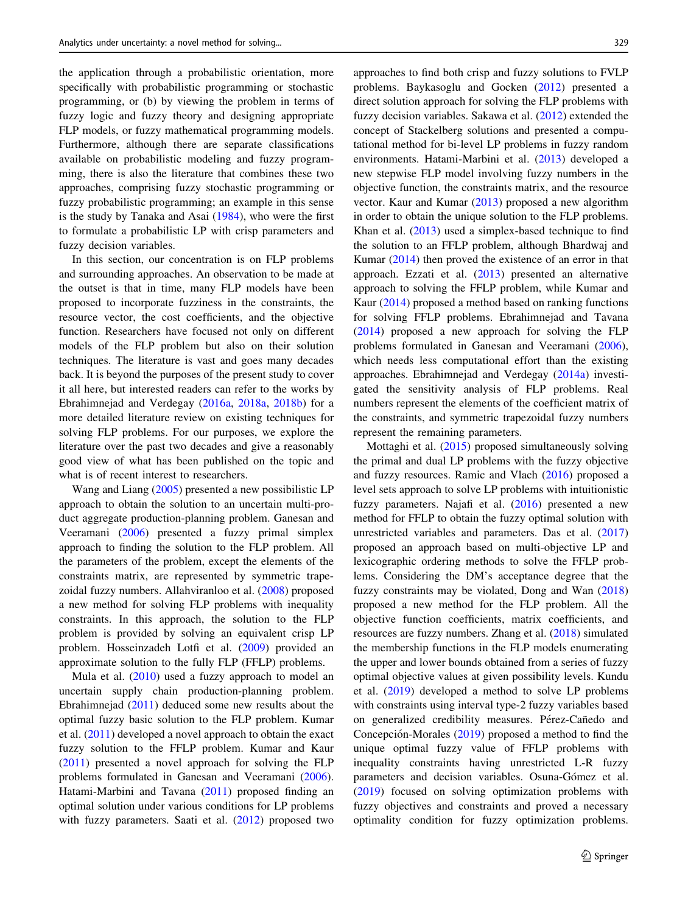the application through a probabilistic orientation, more specifically with probabilistic programming or stochastic programming, or (b) by viewing the problem in terms of fuzzy logic and fuzzy theory and designing appropriate FLP models, or fuzzy mathematical programming models. Furthermore, although there are separate classifications available on probabilistic modeling and fuzzy programming, there is also the literature that combines these two approaches, comprising fuzzy stochastic programming or fuzzy probabilistic programming; an example in this sense is the study by Tanaka and Asai [\(1984](#page-20-0)), who were the first to formulate a probabilistic LP with crisp parameters and fuzzy decision variables.

In this section, our concentration is on FLP problems and surrounding approaches. An observation to be made at the outset is that in time, many FLP models have been proposed to incorporate fuzziness in the constraints, the resource vector, the cost coefficients, and the objective function. Researchers have focused not only on different models of the FLP problem but also on their solution techniques. The literature is vast and goes many decades back. It is beyond the purposes of the present study to cover it all here, but interested readers can refer to the works by Ebrahimnejad and Verdegay [\(2016a,](#page-19-0) [2018a,](#page-19-0) [2018b\)](#page-19-0) for a more detailed literature review on existing techniques for solving FLP problems. For our purposes, we explore the literature over the past two decades and give a reasonably good view of what has been published on the topic and what is of recent interest to researchers.

Wang and Liang ([2005\)](#page-20-0) presented a new possibilistic LP approach to obtain the solution to an uncertain multi-product aggregate production-planning problem. Ganesan and Veeramani ([2006\)](#page-19-0) presented a fuzzy primal simplex approach to finding the solution to the FLP problem. All the parameters of the problem, except the elements of the constraints matrix, are represented by symmetric trapezoidal fuzzy numbers. Allahviranloo et al. ([2008\)](#page-18-0) proposed a new method for solving FLP problems with inequality constraints. In this approach, the solution to the FLP problem is provided by solving an equivalent crisp LP problem. Hosseinzadeh Lotfi et al. ([2009\)](#page-19-0) provided an approximate solution to the fully FLP (FFLP) problems.

Mula et al. [\(2010](#page-19-0)) used a fuzzy approach to model an uncertain supply chain production-planning problem. Ebrahimnejad ([2011\)](#page-18-0) deduced some new results about the optimal fuzzy basic solution to the FLP problem. Kumar et al. [\(2011](#page-19-0)) developed a novel approach to obtain the exact fuzzy solution to the FFLP problem. Kumar and Kaur [\(2011](#page-19-0)) presented a novel approach for solving the FLP problems formulated in Ganesan and Veeramani [\(2006](#page-19-0)). Hatami-Marbini and Tavana [\(2011](#page-19-0)) proposed finding an optimal solution under various conditions for LP problems with fuzzy parameters. Saati et al.  $(2012)$  $(2012)$  proposed two approaches to find both crisp and fuzzy solutions to FVLP problems. Baykasoglu and Gocken [\(2012](#page-18-0)) presented a direct solution approach for solving the FLP problems with fuzzy decision variables. Sakawa et al. [\(2012](#page-20-0)) extended the concept of Stackelberg solutions and presented a computational method for bi-level LP problems in fuzzy random environments. Hatami-Marbini et al. [\(2013](#page-19-0)) developed a new stepwise FLP model involving fuzzy numbers in the objective function, the constraints matrix, and the resource vector. Kaur and Kumar ([2013\)](#page-19-0) proposed a new algorithm in order to obtain the unique solution to the FLP problems. Khan et al. [\(2013](#page-19-0)) used a simplex-based technique to find the solution to an FFLP problem, although Bhardwaj and Kumar [\(2014](#page-18-0)) then proved the existence of an error in that approach. Ezzati et al. ([2013\)](#page-19-0) presented an alternative approach to solving the FFLP problem, while Kumar and Kaur ([2014\)](#page-19-0) proposed a method based on ranking functions for solving FFLP problems. Ebrahimnejad and Tavana [\(2014](#page-19-0)) proposed a new approach for solving the FLP problems formulated in Ganesan and Veeramani [\(2006](#page-19-0)), which needs less computational effort than the existing approaches. Ebrahimnejad and Verdegay [\(2014a\)](#page-19-0) investigated the sensitivity analysis of FLP problems. Real numbers represent the elements of the coefficient matrix of the constraints, and symmetric trapezoidal fuzzy numbers represent the remaining parameters.

Mottaghi et al. [\(2015](#page-19-0)) proposed simultaneously solving the primal and dual LP problems with the fuzzy objective and fuzzy resources. Ramic and Vlach ([2016\)](#page-20-0) proposed a level sets approach to solve LP problems with intuitionistic fuzzy parameters. Najafi et al. ([2016\)](#page-19-0) presented a new method for FFLP to obtain the fuzzy optimal solution with unrestricted variables and parameters. Das et al. ([2017\)](#page-18-0) proposed an approach based on multi-objective LP and lexicographic ordering methods to solve the FFLP problems. Considering the DM's acceptance degree that the fuzzy constraints may be violated, Dong and Wan ([2018\)](#page-18-0) proposed a new method for the FLP problem. All the objective function coefficients, matrix coefficients, and resources are fuzzy numbers. Zhang et al. [\(2018](#page-20-0)) simulated the membership functions in the FLP models enumerating the upper and lower bounds obtained from a series of fuzzy optimal objective values at given possibility levels. Kundu et al. ([2019\)](#page-19-0) developed a method to solve LP problems with constraints using interval type-2 fuzzy variables based on generalized credibility measures. Pérez-Cañedo and Concepción-Morales [\(2019](#page-19-0)) proposed a method to find the unique optimal fuzzy value of FFLP problems with inequality constraints having unrestricted L-R fuzzy parameters and decision variables. Osuna-Gómez et al. [\(2019](#page-19-0)) focused on solving optimization problems with fuzzy objectives and constraints and proved a necessary optimality condition for fuzzy optimization problems.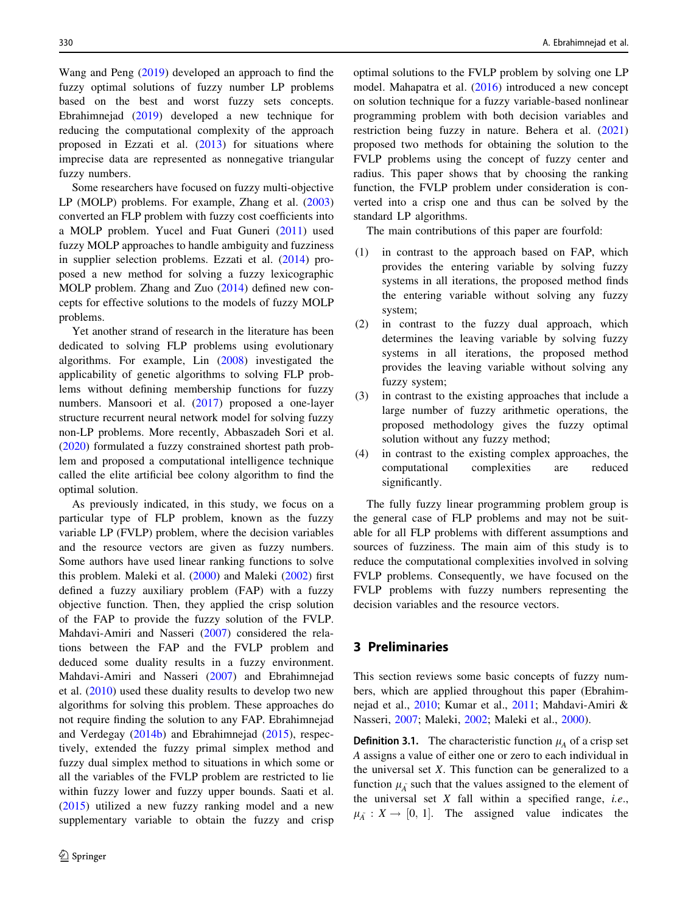Wang and Peng ([2019\)](#page-20-0) developed an approach to find the fuzzy optimal solutions of fuzzy number LP problems based on the best and worst fuzzy sets concepts. Ebrahimnejad ([2019\)](#page-19-0) developed a new technique for reducing the computational complexity of the approach proposed in Ezzati et al. [\(2013](#page-19-0)) for situations where imprecise data are represented as nonnegative triangular fuzzy numbers.

Some researchers have focused on fuzzy multi-objective LP (MOLP) problems. For example, Zhang et al. ([2003\)](#page-20-0) converted an FLP problem with fuzzy cost coefficients into a MOLP problem. Yucel and Fuat Guneri [\(2011](#page-20-0)) used fuzzy MOLP approaches to handle ambiguity and fuzziness in supplier selection problems. Ezzati et al. ([2014\)](#page-19-0) proposed a new method for solving a fuzzy lexicographic MOLP problem. Zhang and Zuo ([2014](#page-20-0)) defined new concepts for effective solutions to the models of fuzzy MOLP problems.

Yet another strand of research in the literature has been dedicated to solving FLP problems using evolutionary algorithms. For example, Lin [\(2008](#page-19-0)) investigated the applicability of genetic algorithms to solving FLP problems without defining membership functions for fuzzy numbers. Mansoori et al. ([2017\)](#page-19-0) proposed a one-layer structure recurrent neural network model for solving fuzzy non-LP problems. More recently, Abbaszadeh Sori et al. [\(2020](#page-18-0)) formulated a fuzzy constrained shortest path problem and proposed a computational intelligence technique called the elite artificial bee colony algorithm to find the optimal solution.

As previously indicated, in this study, we focus on a particular type of FLP problem, known as the fuzzy variable LP (FVLP) problem, where the decision variables and the resource vectors are given as fuzzy numbers. Some authors have used linear ranking functions to solve this problem. Maleki et al. [\(2000](#page-19-0)) and Maleki ([2002\)](#page-19-0) first defined a fuzzy auxiliary problem (FAP) with a fuzzy objective function. Then, they applied the crisp solution of the FAP to provide the fuzzy solution of the FVLP. Mahdavi-Amiri and Nasseri ([2007\)](#page-19-0) considered the relations between the FAP and the FVLP problem and deduced some duality results in a fuzzy environment. Mahdavi-Amiri and Nasseri ([2007\)](#page-19-0) and Ebrahimnejad et al. [\(2010](#page-19-0)) used these duality results to develop two new algorithms for solving this problem. These approaches do not require finding the solution to any FAP. Ebrahimnejad and Verdegay ([2014b\)](#page-19-0) and Ebrahimnejad [\(2015](#page-18-0)), respectively, extended the fuzzy primal simplex method and fuzzy dual simplex method to situations in which some or all the variables of the FVLP problem are restricted to lie within fuzzy lower and fuzzy upper bounds. Saati et al. [\(2015](#page-20-0)) utilized a new fuzzy ranking model and a new supplementary variable to obtain the fuzzy and crisp optimal solutions to the FVLP problem by solving one LP model. Mahapatra et al. [\(2016](#page-19-0)) introduced a new concept on solution technique for a fuzzy variable-based nonlinear programming problem with both decision variables and restriction being fuzzy in nature. Behera et al. ([2021\)](#page-18-0) proposed two methods for obtaining the solution to the FVLP problems using the concept of fuzzy center and radius. This paper shows that by choosing the ranking function, the FVLP problem under consideration is converted into a crisp one and thus can be solved by the standard LP algorithms.

The main contributions of this paper are fourfold:

- (1) in contrast to the approach based on FAP, which provides the entering variable by solving fuzzy systems in all iterations, the proposed method finds the entering variable without solving any fuzzy system;
- (2) in contrast to the fuzzy dual approach, which determines the leaving variable by solving fuzzy systems in all iterations, the proposed method provides the leaving variable without solving any fuzzy system;
- (3) in contrast to the existing approaches that include a large number of fuzzy arithmetic operations, the proposed methodology gives the fuzzy optimal solution without any fuzzy method;
- (4) in contrast to the existing complex approaches, the computational complexities are reduced significantly.

The fully fuzzy linear programming problem group is the general case of FLP problems and may not be suitable for all FLP problems with different assumptions and sources of fuzziness. The main aim of this study is to reduce the computational complexities involved in solving FVLP problems. Consequently, we have focused on the FVLP problems with fuzzy numbers representing the decision variables and the resource vectors.

# 3 Preliminaries

This section reviews some basic concepts of fuzzy numbers, which are applied throughout this paper (Ebrahimnejad et al., [2010;](#page-19-0) Kumar et al., [2011](#page-19-0); Mahdavi-Amiri & Nasseri, [2007;](#page-19-0) Maleki, [2002](#page-19-0); Maleki et al., [2000](#page-19-0)).

**Definition 3.1.** The characteristic function  $\mu_A$  of a crisp set A assigns a value of either one or zero to each individual in the universal set  $X$ . This function can be generalized to a function  $\mu_{\tilde{\Lambda}}$  such that the values assigned to the element of the universal set  $X$  fall within a specified range, *i.e.*,  $\mu_{\tilde{A}} : X \to [0, 1].$  The assigned value indicates the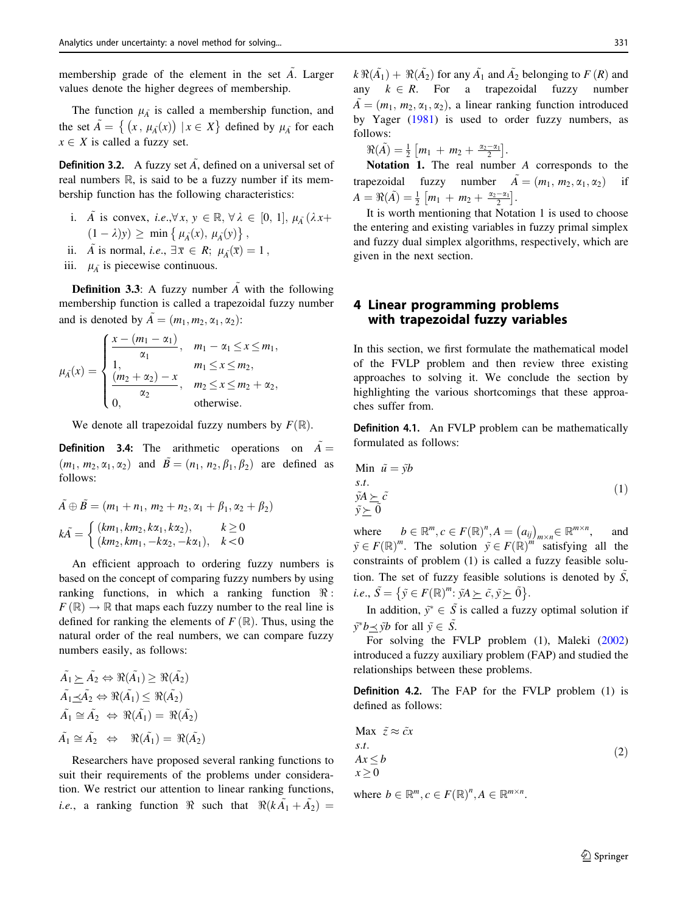membership grade of the element in the set  $\tilde{A}$ . Larger values denote the higher degrees of membership.

The function  $\mu_{\tilde{A}}$  is called a membership function, and the set  $\tilde{A} = \{ (x, \mu_A(x)) \mid x \in X \}$  defined by  $\mu_A^-$  for each  $x \in X$  is called a fuzzy set.

**Definition 3.2.** A fuzzy set  $\tilde{A}$ , defined on a universal set of real numbers  $\mathbb R$ , is said to be a fuzzy number if its membership function has the following characteristics:

- i. A is convex, i.e.,  $\forall x, y \in \mathbb{R}, \forall \lambda \in [0, 1], \mu_{\lambda}(\lambda x +$  $(1 - \lambda)y$   $\geq$  min  $\{ \mu_{\tilde{\Lambda}}(x), \mu_{\tilde{\Lambda}}(y) \},$
- ii.  $\tilde{A}$  is normal, *i.e.*,  $\exists \bar{x} \in R$ ;  $\mu_{\tilde{A}}(\bar{x}) = 1$ ,
- iii.  $\mu_{\tilde{A}}$  is piecewise continuous.

**Definition 3.3:** A fuzzy number  $\tilde{A}$  with the following membership function is called a trapezoidal fuzzy number and is denoted by  $\tilde{A} = (m_1, m_2, \alpha_1, \alpha_2)$ :

$$
\mu_{\tilde{A}}(x) = \begin{cases} \frac{x - (m_1 - \alpha_1)}{\alpha_1}, & m_1 - \alpha_1 \le x \le m_1, \\ 1, & m_1 \le x \le m_2, \\ \frac{(m_2 + \alpha_2) - x}{\alpha_2}, & m_2 \le x \le m_2 + \alpha_2, \\ 0, & \text{otherwise.} \end{cases}
$$

We denote all trapezoidal fuzzy numbers by  $F(\mathbb{R})$ .

**Definition 3.4:** The arithmetic operations on  $\tilde{A} =$  $(m_1, m_2, \alpha_1, \alpha_2)$  and  $\tilde{B}=(n_1, n_2, \beta_1, \beta_2)$  are defined as follows:

$$
\tilde{A} \oplus \tilde{B} = (m_1 + n_1, m_2 + n_2, \alpha_1 + \beta_1, \alpha_2 + \beta_2)
$$
  

$$
k\tilde{A} = \begin{cases} (km_1, km_2, k\alpha_1, k\alpha_2), & k \ge 0 \\ (km_2, km_1, -k\alpha_2, -k\alpha_1), & k < 0 \end{cases}
$$

An efficient approach to ordering fuzzy numbers is based on the concept of comparing fuzzy numbers by using ranking functions, in which a ranking function  $\Re$ :  $F(\mathbb{R}) \to \mathbb{R}$  that maps each fuzzy number to the real line is defined for ranking the elements of  $F(\mathbb{R})$ . Thus, using the natural order of the real numbers, we can compare fuzzy numbers easily, as follows:

$$
\tilde{A}_1 \succeq \tilde{A}_2 \Leftrightarrow \Re(\tilde{A}_1) \ge \Re(\tilde{A}_2)
$$
\n
$$
\tilde{A}_1 \preceq \tilde{A}_2 \Leftrightarrow \Re(\tilde{A}_1) \le \Re(\tilde{A}_2)
$$
\n
$$
\tilde{A}_1 \cong \tilde{A}_2 \Leftrightarrow \Re(\tilde{A}_1) = \Re(\tilde{A}_2)
$$
\n
$$
\tilde{A}_1 \cong \tilde{A}_2 \Leftrightarrow \Re(\tilde{A}_1) = \Re(\tilde{A}_2)
$$

Researchers have proposed several ranking functions to suit their requirements of the problems under consideration. We restrict our attention to linear ranking functions, *i.e.*, a ranking function  $\Re$  such that  $\Re(k\tilde{A}_1 + \tilde{A}_2)$  = follows:  $\Re(\tilde{A}) = \frac{1}{2} [m_1 + m_2 + \frac{\alpha_2 - \alpha_1}{2}].$ 

Notation 1. The real number A corresponds to the trapezoidal fuzzy number  $\tilde{A} = (m_1, m_2, \alpha_1, \alpha_2)$  if  $A = \Re(\tilde{A}) = \frac{1}{2} [m_1 + m_2 + \frac{\alpha_2 - \alpha_1}{2}].$ 

by Yager [\(1981](#page-20-0)) is used to order fuzzy numbers, as

It is worth mentioning that Notation 1 is used to choose the entering and existing variables in fuzzy primal simplex and fuzzy dual simplex algorithms, respectively, which are given in the next section.

# 4 Linear programming problems with trapezoidal fuzzy variables

In this section, we first formulate the mathematical model of the FVLP problem and then review three existing approaches to solving it. We conclude the section by highlighting the various shortcomings that these approaches suffer from.

Definition 4.1. An FVLP problem can be mathematically formulated as follows:

Min 
$$
\tilde{u} = \tilde{y}b
$$
  
s.t.  
 $\tilde{y}A \succeq \tilde{c}$   
 $\tilde{y} \succeq \tilde{0}$  (1)

where  $b \in \mathbb{R}^m, c \in F(\mathbb{R})^n, A = (a_{ij})_{m \times n} \in \mathbb{R}^{m \times n}$ and  $\tilde{y} \in F(\mathbb{R})^m$ . The solution  $\tilde{y} \in F(\mathbb{R})^m$  satisfying all the constraints of problem (1) is called a fuzzy feasible solution. The set of fuzzy feasible solutions is denoted by  $\tilde{S}$ , *i.e.*,  $\tilde{S} = {\tilde{y} \in F(\mathbb{R})^m : \tilde{y}A \succeq \tilde{c}, \tilde{y} \succeq \tilde{0}}.$ 

In addition,  $\tilde{y}^* \in \tilde{S}$  is called a fuzzy optimal solution if  $\tilde{y}^*b \preceq \tilde{y}b$  for all  $\tilde{y} \in \tilde{S}$ .

For solving the FVLP problem (1), Maleki ([2002\)](#page-19-0) introduced a fuzzy auxiliary problem (FAP) and studied the relationships between these problems.

Definition 4.2. The FAP for the FVLP problem (1) is defined as follows:

$$
\begin{array}{ll}\n\text{Max } \tilde{z} \approx \tilde{c}x \\
s.t. \\
Ax \le b \\
x \ge 0\n\end{array} \tag{2}
$$

where  $b \in \mathbb{R}^m, c \in F(\mathbb{R})^n, A \in \mathbb{R}^{m \times n}$ .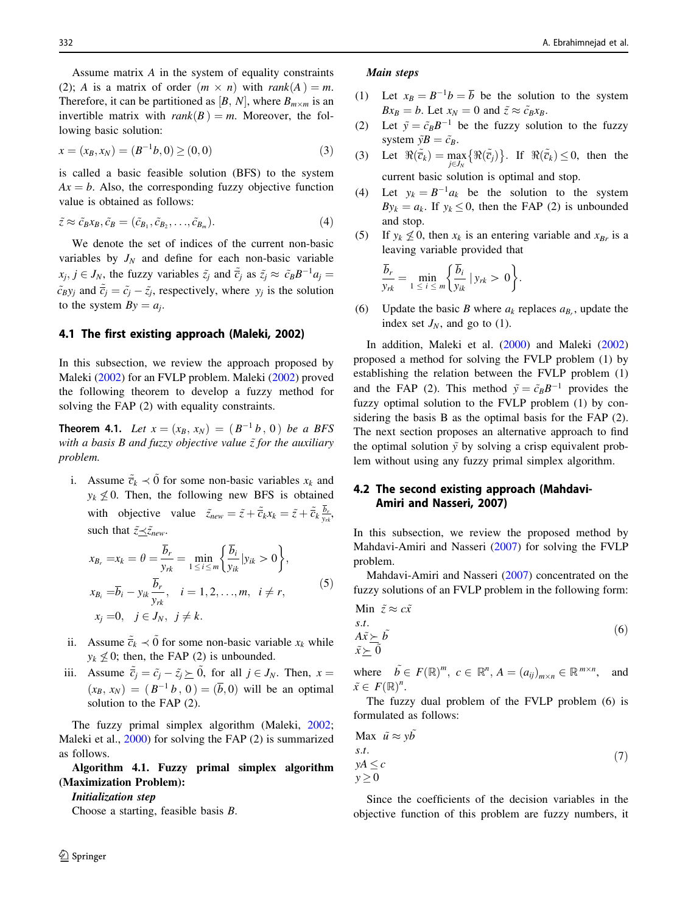<span id="page-5-0"></span>Assume matrix A in the system of equality constraints (2); A is a matrix of order  $(m \times n)$  with rank $(A) = m$ . Therefore, it can be partitioned as  $[B, N]$ , where  $B_{m \times m}$  is an invertible matrix with  $rank(B) = m$ . Moreover, the following basic solution:

$$
x = (x_B, x_N) = (B^{-1}b, 0) \ge (0, 0)
$$
\n(3)

is called a basic feasible solution (BFS) to the system  $Ax = b$ . Also, the corresponding fuzzy objective function value is obtained as follows:

$$
\tilde{z} \approx \tilde{c}_B x_B, \tilde{c}_B = (\tilde{c}_{B_1}, \tilde{c}_{B_2}, \dots, \tilde{c}_{B_m}).
$$
\n(4)

We denote the set of indices of the current non-basic variables by  $J_N$  and define for each non-basic variable  $x_j, j \in J_N$ , the fuzzy variables  $\tilde{z}_j$  and  $\tilde{c}_j$  as  $\tilde{z}_j \approx \tilde{c}_B B^{-1} a_j =$  $\tilde{c}_B y_j$  and  $\tilde{\overline{c}}_j = \tilde{c}_j - \tilde{z}_j$ , respectively, where  $y_j$  is the solution to the system  $By = a_i$ .

### 4.1 The first existing approach (Maleki, 2002)

In this subsection, we review the approach proposed by Maleki [\(2002](#page-19-0)) for an FVLP problem. Maleki ([2002\)](#page-19-0) proved the following theorem to develop a fuzzy method for solving the FAP (2) with equality constraints.

**Theorem 4.1.** Let  $x = (x_B, x_N) = (B^{-1}b, 0)$  be a BFS with a basis B and fuzzy objective value  $\tilde{z}$  for the auxiliary problem.

i. Assume  $\tilde{\overline{c}}_k \prec \tilde{0}$  for some non-basic variables  $x_k$  and  $y_k \not\leq 0$ . Then, the following new BFS is obtained with objective value  $\tilde{z}_{new} = \tilde{z} + \tilde{\overline{c}}_k x_k = \tilde{z} + \tilde{\overline{c}}_k \frac{b_r}{y_{rk}}$ such that  $\tilde{z} \leq \tilde{z}_{new}$ .

$$
x_{B_r} = x_k = \theta = \frac{\overline{b}_r}{y_{rk}} = \min_{1 \le i \le m} \left\{ \frac{\overline{b}_i}{y_{ik}} | y_{ik} > 0 \right\},\newline x_{B_i} = \overline{b}_i - y_{ik} \frac{\overline{b}_r}{y_{rk}}, \quad i = 1, 2, ..., m, \quad i \ne r,\newline x_j = 0, \quad j \in J_N, \quad j \ne k.
$$
\n
$$
(5)
$$

- ii. Assume  $\tilde{\overline{c}}_k \prec \tilde{0}$  for some non-basic variable  $x_k$  while  $y_k \nless 0$ ; then, the FAP (2) is unbounded.
- iii. Assume  $\tilde{\overline{c}}_j = \tilde{c}_j \tilde{z}_j \geq \tilde{0}$ , for all  $j \in J_N$ . Then,  $x =$  $(x_B, x_N) = (B^{-1}b, 0) = (b, b)$  will be an optimal solution to the FAP (2).

The fuzzy primal simplex algorithm (Maleki, [2002](#page-19-0); Maleki et al., [2000](#page-19-0)) for solving the FAP (2) is summarized as follows.

Algorithm 4.1. Fuzzy primal simplex algorithm (Maximization Problem):

#### Initialization step

Choose a starting, feasible basis B.

#### Main steps

- (1) Let  $x_B = B^{-1}b = \overline{b}$  be the solution to the system  $Bx_B = b$ . Let  $x_N = 0$  and  $\tilde{z} \approx \tilde{c}_B x_B$ .
- (2) Let  $\tilde{y} = \tilde{c}_B B^{-1}$  be the fuzzy solution to the fuzzy system  $\tilde{y}B = \tilde{c}_B$ .
- (3) Let  $\Re(\tilde{\vec{c}}_k) = \max_{j \in J_N} {\Re(\tilde{\vec{c}}_j)}$ . If  $\Re(\tilde{\vec{c}}_k) \leq 0$ , then the current basic solution is optimal and stop.
- (4) Let  $y_k = B^{-1}a_k$  be the solution to the system  $By_k = a_k$ . If  $y_k \leq 0$ , then the FAP (2) is unbounded and stop.
- (5) If  $y_k \nleq 0$ , then  $x_k$  is an entering variable and  $x_{Br}$  is a leaving variable provided that

$$
\frac{\overline{b}_r}{y_{rk}} = \min_{1 \leq i \leq m} \left\{ \frac{\overline{b}_i}{y_{ik}} \mid y_{rk} > 0 \right\}.
$$

(6) Update the basic B where  $a_k$  replaces  $a_{k}$ , update the index set  $J_N$ , and go to (1).

In addition, Maleki et al. ([2000\)](#page-19-0) and Maleki ([2002\)](#page-19-0) proposed a method for solving the FVLP problem (1) by establishing the relation between the FVLP problem (1) and the FAP (2). This method  $\tilde{y} = \tilde{c}_B B^{-1}$  provides the fuzzy optimal solution to the FVLP problem (1) by considering the basis B as the optimal basis for the FAP (2). The next section proposes an alternative approach to find the optimal solution  $\tilde{y}$  by solving a crisp equivalent problem without using any fuzzy primal simplex algorithm.

# 4.2 The second existing approach (Mahdavi-Amiri and Nasseri, 2007)

In this subsection, we review the proposed method by Mahdavi-Amiri and Nasseri [\(2007](#page-19-0)) for solving the FVLP problem.

Mahdavi-Amiri and Nasseri ([2007\)](#page-19-0) concentrated on the fuzzy solutions of an FVLP problem in the following form:

Min 
$$
\tilde{z} \approx c\tilde{x}
$$
  
s.t.  
 $A\tilde{x} \succeq \tilde{b}$   
 $\tilde{x} \succeq \tilde{0}$  (6)

where  $\tilde{b} \in F(\mathbb{R})^m$ ,  $c \in \mathbb{R}^n$ ,  $A = (a_{ij})_{m \times n} \in \mathbb{R}^{m \times n}$ , and  $\tilde{x} \in F(\mathbb{R})^n$ .

The fuzzy dual problem of the FVLP problem (6) is formulated as follows:

$$
\begin{aligned} \text{Max } \tilde{u} &\approx y\tilde{b} \\ \text{s.t.} \\ yA &\leq c \\ y &\geq 0 \end{aligned} \tag{7}
$$

Since the coefficients of the decision variables in the objective function of this problem are fuzzy numbers, it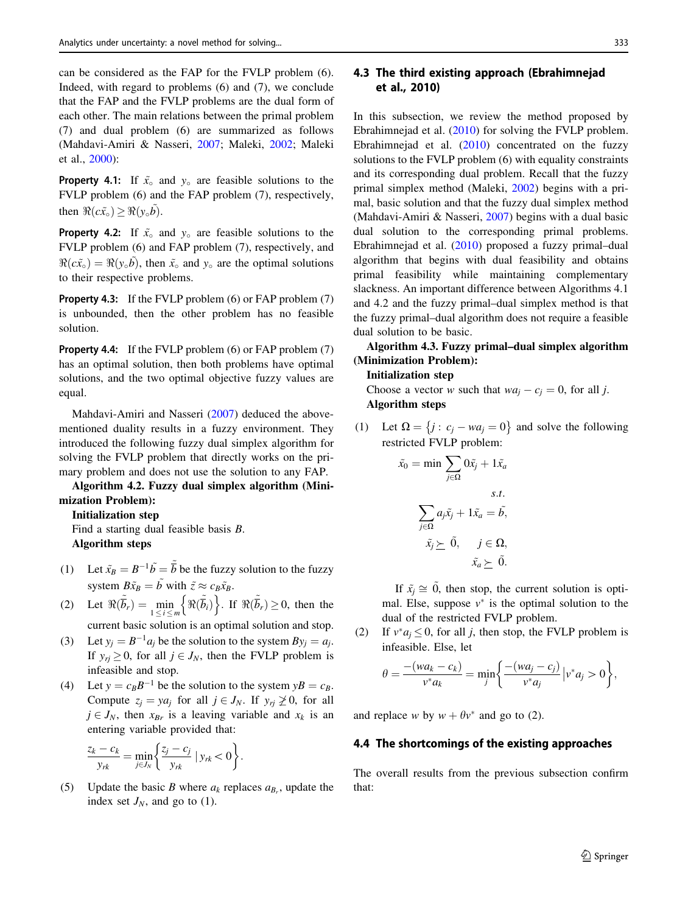can be considered as the FAP for the FVLP problem (6). Indeed, with regard to problems (6) and (7), we conclude that the FAP and the FVLP problems are the dual form of each other. The main relations between the primal problem (7) and dual problem (6) are summarized as follows (Mahdavi-Amiri & Nasseri, [2007;](#page-19-0) Maleki, [2002](#page-19-0); Maleki et al., [2000](#page-19-0)):

**Property 4.1:** If  $\tilde{x}_0$  and  $y_0$  are feasible solutions to the FVLP problem (6) and the FAP problem (7), respectively, then  $\Re(c\tilde{x}_0) > \Re(v_0\tilde{b}).$ 

**Property 4.2:** If  $\tilde{x}_0$  and  $y_0$  are feasible solutions to the FVLP problem (6) and FAP problem (7), respectively, and  $\Re(c\tilde{x}_0) = \Re(y_0\tilde{b})$ , then  $\tilde{x}_0$  and  $y_0$  are the optimal solutions to their respective problems.

Property 4.3: If the FVLP problem (6) or FAP problem (7) is unbounded, then the other problem has no feasible solution.

Property 4.4: If the FVLP problem (6) or FAP problem (7) has an optimal solution, then both problems have optimal solutions, and the two optimal objective fuzzy values are equal.

Mahdavi-Amiri and Nasseri ([2007\)](#page-19-0) deduced the abovementioned duality results in a fuzzy environment. They introduced the following fuzzy dual simplex algorithm for solving the FVLP problem that directly works on the primary problem and does not use the solution to any FAP.

Algorithm 4.2. Fuzzy dual simplex algorithm (Minimization Problem):

Initialization step

Find a starting dual feasible basis B. Algorithm steps

- (1) Let  $\tilde{x}_B = B^{-1} \tilde{b} = \tilde{\overline{b}}$  be the fuzzy solution to the fuzzy system  $B\tilde{x}_B = \tilde{b}$  with  $\tilde{z} \approx c_B \tilde{x}_B$ .
- (2) Let  $\Re(\overline{\tilde{b}}_r) = \min_{1 \leq i \leq m} \left\{ \Re(\overline{\tilde{b}}_i) \right\}$ . If  $\Re(\overline{\tilde{b}}_r) \geq 0$ , then the current basic solution is an optimal solution and stop.
- (3) Let  $y_i = B^{-1}a_i$  be the solution to the system  $By_i = a_i$ .
- If  $y_{ri} \ge 0$ , for all  $j \in J_N$ , then the FVLP problem is infeasible and stop.
- (4) Let  $y = c_B B^{-1}$  be the solution to the system  $yB = c_B$ . Compute  $z_i = ya_i$  for all  $j \in J_N$ . If  $y_{ri} \not\geq 0$ , for all  $j \in J_N$ , then  $x_{Br}$  is a leaving variable and  $x_k$  is an entering variable provided that:

$$
\frac{z_k - c_k}{y_{rk}} = \min_{j \in J_N} \left\{ \frac{z_j - c_j}{y_{rk}} \mid y_{rk} < 0 \right\}.
$$

(5) Update the basic B where  $a_k$  replaces  $a_{B_k}$ , update the index set  $J_N$ , and go to (1).

# 4.3 The third existing approach (Ebrahimnejad et al., 2010)

In this subsection, we review the method proposed by Ebrahimnejad et al. [\(2010\)](#page-19-0) for solving the FVLP problem. Ebrahimnejad et al. ([2010\)](#page-19-0) concentrated on the fuzzy solutions to the FVLP problem (6) with equality constraints and its corresponding dual problem. Recall that the fuzzy primal simplex method (Maleki, [2002](#page-19-0)) begins with a primal, basic solution and that the fuzzy dual simplex method (Mahdavi-Amiri & Nasseri, [2007\)](#page-19-0) begins with a dual basic dual solution to the corresponding primal problems. Ebrahimnejad et al. [\(2010](#page-19-0)) proposed a fuzzy primal–dual algorithm that begins with dual feasibility and obtains primal feasibility while maintaining complementary slackness. An important difference between Algorithms 4.1 and 4.2 and the fuzzy primal–dual simplex method is that the fuzzy primal–dual algorithm does not require a feasible dual solution to be basic.

Algorithm 4.3. Fuzzy primal–dual simplex algorithm (Minimization Problem):

#### Initialization step

Choose a vector w such that  $wa_i - c_j = 0$ , for all j. Algorithm steps

(1) Let  $\Omega = \{j : c_j - wa_j = 0\}$  and solve the following restricted FVLP problem:

$$
\tilde{x}_0 = \min \sum_{j \in \Omega} 0\tilde{x}_j + 1\tilde{x}_a
$$
  

$$
\sum_{j \in \Omega} a_j \tilde{x}_j + 1\tilde{x}_a = \tilde{b},
$$
  

$$
\tilde{x}_j \succeq \tilde{0}, \quad j \in \Omega,
$$
  

$$
\tilde{x}_a \succeq \tilde{0}.
$$

If  $\tilde{x}_i \cong 0$ , then stop, the current solution is optimal. Else, suppose  $v^*$  is the optimal solution to the dual of the restricted FVLP problem.

(2) If  $v^* a_j \leq 0$ , for all j, then stop, the FVLP problem is infeasible. Else, let

$$
\theta = \frac{-(wa_k - c_k)}{v^* a_k} = \min_j \left\{ \frac{-(wa_j - c_j)}{v^* a_j} \Big| v^* a_j > 0 \right\},\,
$$

and replace w by  $w + \theta v^*$  and go to (2).

### 4.4 The shortcomings of the existing approaches

The overall results from the previous subsection confirm that: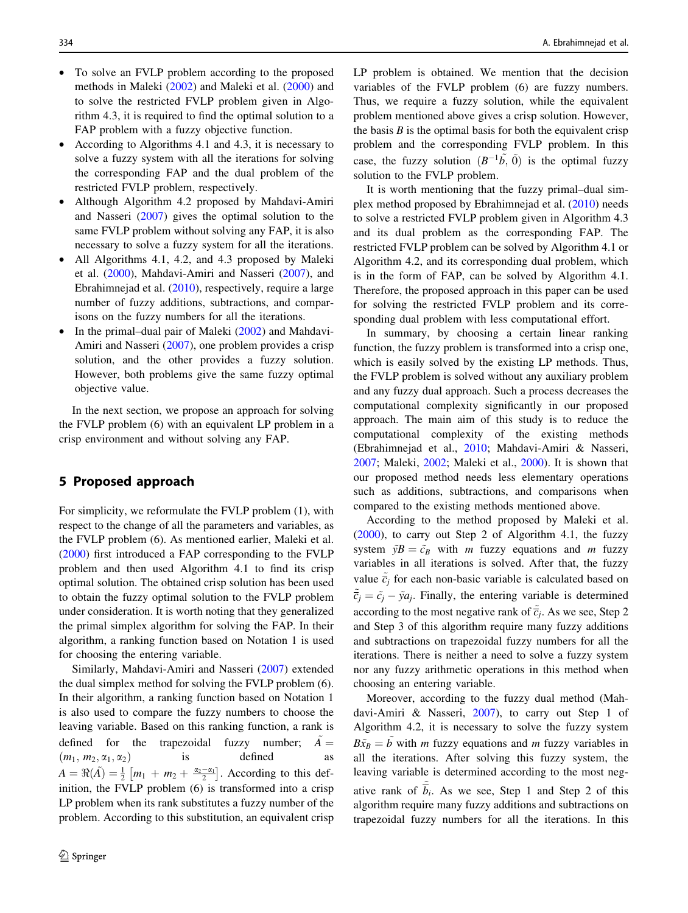- To solve an FVLP problem according to the proposed methods in Maleki [\(2002](#page-19-0)) and Maleki et al. [\(2000](#page-19-0)) and to solve the restricted FVLP problem given in Algorithm 4.3, it is required to find the optimal solution to a FAP problem with a fuzzy objective function.
- According to Algorithms 4.1 and 4.3, it is necessary to solve a fuzzy system with all the iterations for solving the corresponding FAP and the dual problem of the restricted FVLP problem, respectively.
- Although Algorithm 4.2 proposed by Mahdavi-Amiri and Nasseri ([2007\)](#page-19-0) gives the optimal solution to the same FVLP problem without solving any FAP, it is also necessary to solve a fuzzy system for all the iterations.
- All Algorithms 4.1, 4.2, and 4.3 proposed by Maleki et al. ([2000\)](#page-19-0), Mahdavi-Amiri and Nasseri ([2007\)](#page-19-0), and Ebrahimnejad et al. [\(2010](#page-19-0)), respectively, require a large number of fuzzy additions, subtractions, and comparisons on the fuzzy numbers for all the iterations.
- In the primal–dual pair of Maleki ([2002\)](#page-19-0) and Mahdavi-Amiri and Nasseri [\(2007](#page-19-0)), one problem provides a crisp solution, and the other provides a fuzzy solution. However, both problems give the same fuzzy optimal objective value.

In the next section, we propose an approach for solving the FVLP problem (6) with an equivalent LP problem in a crisp environment and without solving any FAP.

# 5 Proposed approach

For simplicity, we reformulate the FVLP problem (1), with respect to the change of all the parameters and variables, as the FVLP problem (6). As mentioned earlier, Maleki et al. [\(2000](#page-19-0)) first introduced a FAP corresponding to the FVLP problem and then used Algorithm 4.1 to find its crisp optimal solution. The obtained crisp solution has been used to obtain the fuzzy optimal solution to the FVLP problem under consideration. It is worth noting that they generalized the primal simplex algorithm for solving the FAP. In their algorithm, a ranking function based on Notation 1 is used for choosing the entering variable.

Similarly, Mahdavi-Amiri and Nasseri [\(2007](#page-19-0)) extended the dual simplex method for solving the FVLP problem (6). In their algorithm, a ranking function based on Notation 1 is also used to compare the fuzzy numbers to choose the leaving variable. Based on this ranking function, a rank is defined for the trapezoidal fuzzy number;  $A =$  $(m_1, m_2, \alpha_1, \alpha_2)$  is defined as  $A = \Re(\tilde{A}) = \frac{1}{2} [m_1 + m_2 + \frac{\alpha_2 - \alpha_1}{2}]$ . According to this definition, the FVLP problem (6) is transformed into a crisp LP problem when its rank substitutes a fuzzy number of the problem. According to this substitution, an equivalent crisp

LP problem is obtained. We mention that the decision variables of the FVLP problem (6) are fuzzy numbers. Thus, we require a fuzzy solution, while the equivalent problem mentioned above gives a crisp solution. However, the basis  $B$  is the optimal basis for both the equivalent crisp problem and the corresponding FVLP problem. In this case, the fuzzy solution  $(B^{-1}\tilde{b}, \tilde{0})$  is the optimal fuzzy solution to the FVLP problem.

It is worth mentioning that the fuzzy primal–dual simplex method proposed by Ebrahimnejad et al. [\(2010](#page-19-0)) needs to solve a restricted FVLP problem given in Algorithm 4.3 and its dual problem as the corresponding FAP. The restricted FVLP problem can be solved by Algorithm 4.1 or Algorithm 4.2, and its corresponding dual problem, which is in the form of FAP, can be solved by Algorithm 4.1. Therefore, the proposed approach in this paper can be used for solving the restricted FVLP problem and its corresponding dual problem with less computational effort.

In summary, by choosing a certain linear ranking function, the fuzzy problem is transformed into a crisp one, which is easily solved by the existing LP methods. Thus, the FVLP problem is solved without any auxiliary problem and any fuzzy dual approach. Such a process decreases the computational complexity significantly in our proposed approach. The main aim of this study is to reduce the computational complexity of the existing methods (Ebrahimnejad et al., [2010;](#page-19-0) Mahdavi-Amiri & Nasseri, [2007](#page-19-0); Maleki, [2002;](#page-19-0) Maleki et al., [2000\)](#page-19-0). It is shown that our proposed method needs less elementary operations such as additions, subtractions, and comparisons when compared to the existing methods mentioned above.

According to the method proposed by Maleki et al. [\(2000](#page-19-0)), to carry out Step 2 of Algorithm 4.1, the fuzzy system  $\tilde{y}B = \tilde{c}_B$  with m fuzzy equations and m fuzzy variables in all iterations is solved. After that, the fuzzy value  $\tilde{\vec{c}}_j$  for each non-basic variable is calculated based on  $\tilde{\overline{c}}_j = \tilde{c}_j - \tilde{y}a_j$ . Finally, the entering variable is determined according to the most negative rank of  $\tilde{c}_j$ . As we see, Step 2 and Step 3 of this algorithm require many fuzzy additions and subtractions on trapezoidal fuzzy numbers for all the iterations. There is neither a need to solve a fuzzy system nor any fuzzy arithmetic operations in this method when choosing an entering variable.

Moreover, according to the fuzzy dual method (Mahdavi-Amiri & Nasseri, [2007](#page-19-0)), to carry out Step 1 of Algorithm 4.2, it is necessary to solve the fuzzy system  $B\tilde{x}_B = \tilde{b}$  with m fuzzy equations and m fuzzy variables in all the iterations. After solving this fuzzy system, the leaving variable is determined according to the most negative rank of  $\tilde{b}_i$ . As we see, Step 1 and Step 2 of this algorithm require many fuzzy additions and subtractions on trapezoidal fuzzy numbers for all the iterations. In this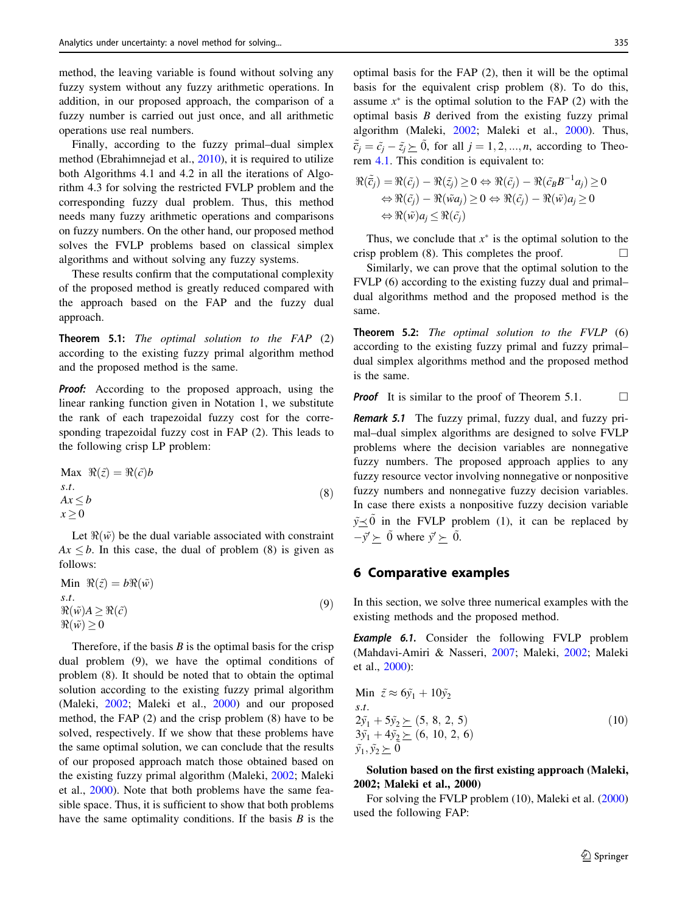method, the leaving variable is found without solving any fuzzy system without any fuzzy arithmetic operations. In addition, in our proposed approach, the comparison of a fuzzy number is carried out just once, and all arithmetic operations use real numbers.

Finally, according to the fuzzy primal–dual simplex method (Ebrahimnejad et al., [2010](#page-19-0)), it is required to utilize both Algorithms 4.1 and 4.2 in all the iterations of Algorithm 4.3 for solving the restricted FVLP problem and the corresponding fuzzy dual problem. Thus, this method needs many fuzzy arithmetic operations and comparisons on fuzzy numbers. On the other hand, our proposed method solves the FVLP problems based on classical simplex algorithms and without solving any fuzzy systems.

These results confirm that the computational complexity of the proposed method is greatly reduced compared with the approach based on the FAP and the fuzzy dual approach.

Theorem 5.1: The optimal solution to the FAP (2) according to the existing fuzzy primal algorithm method and the proposed method is the same.

Proof: According to the proposed approach, using the linear ranking function given in Notation 1, we substitute the rank of each trapezoidal fuzzy cost for the corresponding trapezoidal fuzzy cost in FAP (2). This leads to the following crisp LP problem:

$$
\begin{aligned} \text{Max } \Re(\tilde{z}) &= \Re(\tilde{c})b \\ s.t. \\ Ax \le b \\ x \ge 0 \end{aligned} \tag{8}
$$

Let  $\Re(\tilde{w})$  be the dual variable associated with constraint  $Ax \leq b$ . In this case, the dual of problem (8) is given as follows:

Min 
$$
\Re(\tilde{z}) = b\Re(\tilde{w})
$$
  
s.t.  
 $\Re(\tilde{w})A \ge \Re(\tilde{c})$   
 $\Re(\tilde{w}) \ge 0$  (9)

Therefore, if the basis  $B$  is the optimal basis for the crisp dual problem (9), we have the optimal conditions of problem (8). It should be noted that to obtain the optimal solution according to the existing fuzzy primal algorithm (Maleki, [2002;](#page-19-0) Maleki et al., [2000](#page-19-0)) and our proposed method, the FAP (2) and the crisp problem (8) have to be solved, respectively. If we show that these problems have the same optimal solution, we can conclude that the results of our proposed approach match those obtained based on the existing fuzzy primal algorithm (Maleki, [2002;](#page-19-0) Maleki et al., [2000\)](#page-19-0). Note that both problems have the same feasible space. Thus, it is sufficient to show that both problems have the same optimality conditions. If the basis  $B$  is the optimal basis for the FAP (2), then it will be the optimal basis for the equivalent crisp problem (8). To do this, assume  $x^*$  is the optimal solution to the FAP (2) with the optimal basis  $B$  derived from the existing fuzzy primal algorithm (Maleki, [2002](#page-19-0); Maleki et al., [2000](#page-19-0)). Thus,  $\tilde{\bar{c}}_j = \tilde{c}_j - \tilde{z}_j \geq \tilde{0}$ , for all  $j = 1, 2, ..., n$ , according to Theorem [4.1.](#page-5-0) This condition is equivalent to:

$$
\Re(\tilde{c}_j) = \Re(\tilde{c}_j) - \Re(\tilde{z}_j) \ge 0 \Leftrightarrow \Re(\tilde{c}_j) - \Re(\tilde{c}_B B^{-1} a_j) \ge 0
$$
  

$$
\Leftrightarrow \Re(\tilde{c}_j) - \Re(\tilde{w} a_j) \ge 0 \Leftrightarrow \Re(\tilde{c}_j) - \Re(\tilde{w}) a_j \ge 0
$$
  

$$
\Leftrightarrow \Re(\tilde{w}) a_j \le \Re(\tilde{c}_j)
$$

Thus, we conclude that  $x^*$  is the optimal solution to the crisp problem (8). This completes the proof.  $\Box$ 

Similarly, we can prove that the optimal solution to the FVLP (6) according to the existing fuzzy dual and primal– dual algorithms method and the proposed method is the same.

Theorem 5.2: The optimal solution to the FVLP (6) according to the existing fuzzy primal and fuzzy primal– dual simplex algorithms method and the proposed method is the same.

**Proof** It is similar to the proof of Theorem 5.1.  $\Box$ 

Remark 5.1 The fuzzy primal, fuzzy dual, and fuzzy primal–dual simplex algorithms are designed to solve FVLP problems where the decision variables are nonnegative fuzzy numbers. The proposed approach applies to any fuzzy resource vector involving nonnegative or nonpositive fuzzy numbers and nonnegative fuzzy decision variables. In case there exists a nonpositive fuzzy decision variable  $\tilde{y} \leq 0$  in the FVLP problem (1), it can be replaced by  $-\tilde{y}' \succeq \tilde{0}$  where  $\tilde{y}' \succeq \tilde{0}$ .

# 6 Comparative examples

In this section, we solve three numerical examples with the existing methods and the proposed method.

**Example 6.1.** Consider the following FVLP problem (Mahdavi-Amiri & Nasseri, [2007;](#page-19-0) Maleki, [2002;](#page-19-0) Maleki et al., [2000](#page-19-0)):

Min 
$$
\tilde{z} \approx 6\tilde{y}_1 + 10\tilde{y}_2
$$
  
s.t.  
 $2\tilde{y}_1 + 5\tilde{y}_2 \succeq (5, 8, 2, 5)$   
 $3\tilde{y}_1 + 4\tilde{y}_2 \succeq (6, 10, 2, 6)$   
 $\tilde{y}_1, \tilde{y}_2 \succeq 0$  (10)

Solution based on the first existing approach (Maleki, 2002; Maleki et al., 2000)

For solving the FVLP problem (10), Maleki et al. ([2000\)](#page-19-0) used the following FAP: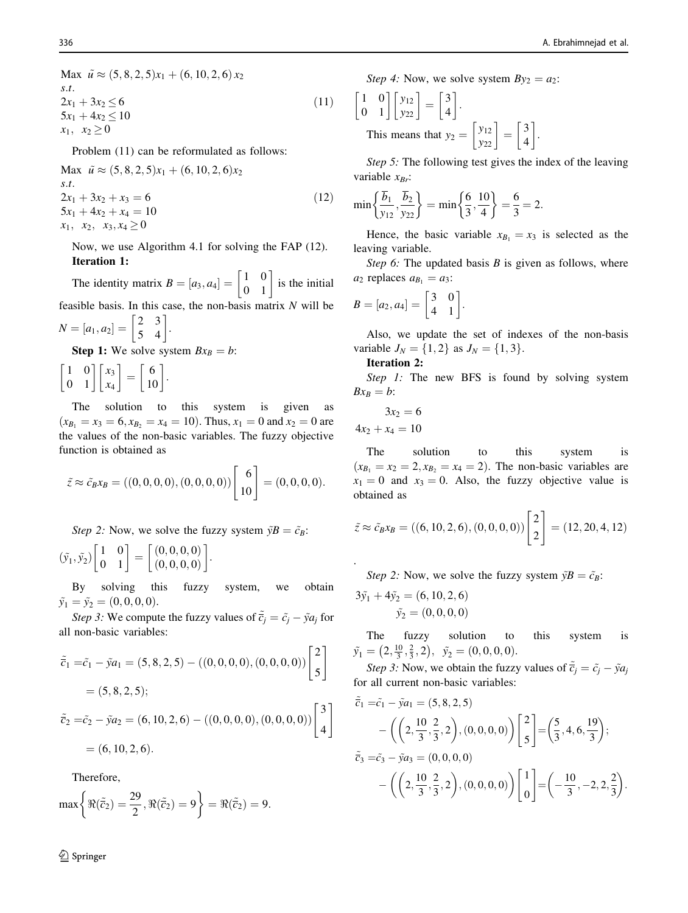Max  $\tilde{u} \approx (5, 8, 2, 5)x_1 + (6, 10, 2, 6)x_2$ s:t:  $2x_1 + 3x_2 \le 6$  $5x_1 + 4x_2 \le 10$  $x_1, x_2 \geq 0$  $(11)$ 

Problem (11) can be reformulated as follows:

Max  $\tilde{u} \approx (5, 8, 2, 5)x_1 + (6, 10, 2, 6)x_2$ s:t:  $2x_1 + 3x_2 + x_3 = 6$  $5x_1 + 4x_2 + x_4 = 10$  $x_1, x_2, x_3, x_4 \geq 0$  $(12)$ 

Now, we use Algorithm 4.1 for solving the FAP (12). Iteration 1:

The identity matrix  $B = [a_3, a_4] = \begin{bmatrix} 1 & 0 \\ 0 & 1 \end{bmatrix}$  is the initial feasible basis. In this case, the non-basis matrix  $N$  will be

 $N = [a_1, a_2] = \begin{bmatrix} 2 & 3 \\ 5 & 4 \end{bmatrix}.$ 

**Step 1:** We solve system  $Bx_B = b$ :

 $\begin{bmatrix} 1 & 0 \\ 0 & 1 \end{bmatrix} \begin{bmatrix} x_3 \\ x_4 \end{bmatrix}$  $\begin{bmatrix} x_3 \\ x_4 \end{bmatrix} = \begin{bmatrix} 6 \\ 10 \end{bmatrix}.$ 

The solution to this system is given as  $(x_{B_1} = x_3 = 6, x_{B_2} = x_4 = 10)$ . Thus,  $x_1 = 0$  and  $x_2 = 0$  are the values of the non-basic variables. The fuzzy objective function is obtained as

$$
\tilde{z} \approx \tilde{c}_B x_B = ((0, 0, 0, 0), (0, 0, 0, 0)) \begin{bmatrix} 6 \\ 10 \end{bmatrix} = (0, 0, 0, 0).
$$

Step 2: Now, we solve the fuzzy system  $\tilde{y}B = \tilde{c}_B$ :

$$
(\tilde{y}_1,\tilde{y}_2)\begin{bmatrix} 1 & 0 \\ 0 & 1 \end{bmatrix} = \begin{bmatrix} (0,0,0,0) \\ (0,0,0,0) \end{bmatrix}.
$$

By solving this fuzzy system, we obtain  $\tilde{y}_1 = \tilde{y}_2 = (0, 0, 0, 0).$ 

Step 3: We compute the fuzzy values of  $\tilde{\vec{c}}_j = \tilde{c}_j - \tilde{y} a_j$  for all non-basic variables:

$$
\tilde{\tilde{c}}_1 = \tilde{c}_1 - \tilde{y}a_1 = (5, 8, 2, 5) - ((0, 0, 0, 0), (0, 0, 0, 0))\begin{bmatrix} 2 \\ 5 \end{bmatrix}
$$
  
= (5, 8, 2, 5);  

$$
\tilde{\tilde{c}}_2 = \tilde{c}_2 - \tilde{y}a_2 = (6, 10, 2, 6) - ((0, 0, 0, 0), (0, 0, 0, 0))\begin{bmatrix} 3 \\ 4 \end{bmatrix}
$$
  
= (6, 10, 2, 6).

Therefore,

$$
\max\left\{\Re(\tilde{\overline{c}}_2)=\frac{29}{2}, \Re(\tilde{\overline{c}}_2)=9\right\}=\Re(\tilde{\overline{c}}_2)=9.
$$

<sup>2</sup> Springer

Step 4: Now, we solve system  $By_2 = a_2$ :

$$
\begin{bmatrix} 1 & 0 \ 0 & 1 \end{bmatrix} \begin{bmatrix} y_{12} \\ y_{22} \end{bmatrix} = \begin{bmatrix} 3 \\ 4 \end{bmatrix}.
$$
  
This means that  $y_2 = \begin{bmatrix} y_{12} \\ y_{22} \end{bmatrix} = \begin{bmatrix} 3 \\ 4 \end{bmatrix}.$ 

Step 5: The following test gives the index of the leaving variable  $x_{Br}$ :

$$
\min\left\{\frac{\overline{b}_1}{y_{12}}, \frac{\overline{b}_2}{y_{22}}\right\} = \min\left\{\frac{6}{3}, \frac{10}{4}\right\} = \frac{6}{3} = 2.
$$

Hence, the basic variable  $x_{B_1} = x_3$  is selected as the leaving variable.

Step 6: The updated basis  $B$  is given as follows, where  $a_2$  replaces  $a_{B_1} = a_3$ :

$$
B=[a_2,a_4]=\begin{bmatrix}3&0\\4&1\end{bmatrix}.
$$

Also, we update the set of indexes of the non-basis variable  $J_N = \{1, 2\}$  as  $J_N = \{1, 3\}.$ 

#### Iteration 2:

Step 1: The new BFS is found by solving system  $Bx_B = b$ :

$$
3x_2 = 6
$$

 $4x_2 + x_4 = 10$ 

.

The solution to this system is  $(x_{B_1} = x_2 = 2, x_{B_2} = x_4 = 2)$ . The non-basic variables are  $x_1 = 0$  and  $x_3 = 0$ . Also, the fuzzy objective value is obtained as

$$
\tilde{z} \approx \tilde{c}_B x_B = ((6, 10, 2, 6), (0, 0, 0, 0)) \begin{bmatrix} 2 \\ 2 \end{bmatrix} = (12, 20, 4, 12)
$$

Step 2: Now, we solve the fuzzy system  $\tilde{y}B = \tilde{c}_B$ :

$$
3\tilde{y}_1 + 4\tilde{y}_2 = (6, 10, 2, 6)
$$
  

$$
\tilde{y}_2 = (0, 0, 0, 0)
$$

The fuzzy solution to this system is  $\tilde{y}_1 = (2, \frac{10}{3}, \frac{2}{3}, 2), \quad \tilde{y}_2 = (0, 0, 0, 0).$ 

Step 3: Now, we obtain the fuzzy values of  $\tilde{\vec{c}}_j = \tilde{c}_j - \tilde{y} a_j$ for all current non-basic variables:

$$
\tilde{\tilde{c}}_1 = \tilde{c}_1 - \tilde{y}a_1 = (5, 8, 2, 5) \n- \left( \left( 2, \frac{10}{3}, \frac{2}{3}, 2 \right), (0, 0, 0, 0) \right) \begin{bmatrix} 2 \\ 5 \end{bmatrix} = \left( \frac{5}{3}, 4, 6, \frac{19}{3} \right); \n\tilde{\tilde{c}}_3 = \tilde{c}_3 - \tilde{y}a_3 = (0, 0, 0, 0) \n- \left( \left( 2, \frac{10}{3}, \frac{2}{3}, 2 \right), (0, 0, 0, 0) \right) \begin{bmatrix} 1 \\ 0 \end{bmatrix} = \left( -\frac{10}{3}, -2, 2, \frac{2}{3} \right).
$$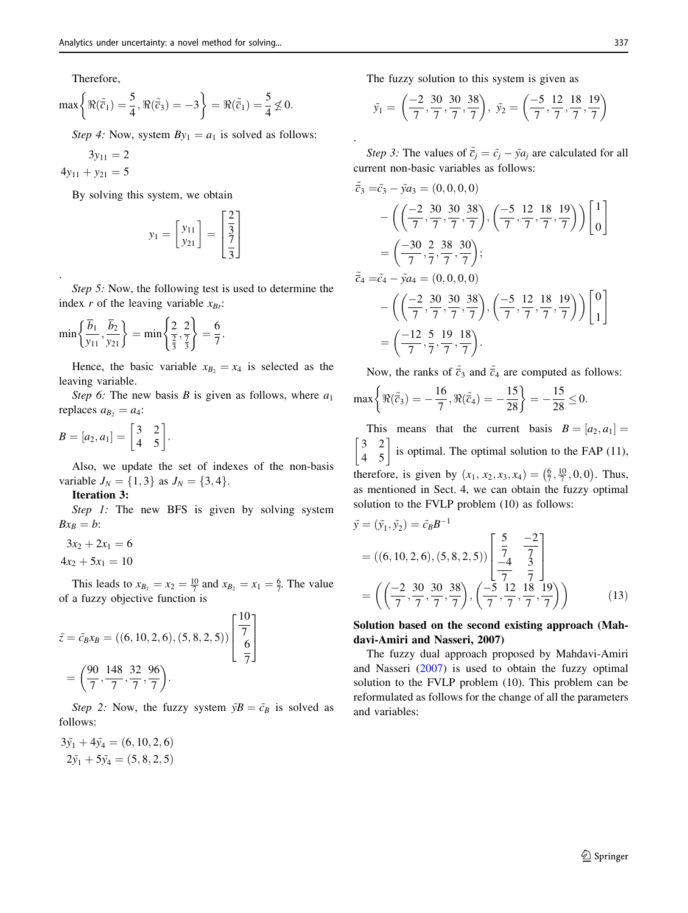Therefore,

$$
\max\left\{\Re(\tilde{\overline{c}}_1)=\frac{5}{4}, \Re(\tilde{\overline{c}}_3)=-3\right\}=\Re(\tilde{\overline{c}}_1)=\frac{5}{4}\nleq 0.
$$

Step 4: Now, system  $By_1 = a_1$  is solved as follows:

$$
3y_{11} = 2
$$
  

$$
4y_{11} + y_{21} = 5
$$

.

By solving this system, we obtain

$$
y_1 = \begin{bmatrix} y_{11} \\ y_{21} \end{bmatrix} = \begin{bmatrix} \frac{2}{3} \\ \frac{7}{3} \end{bmatrix}
$$

Step 5: Now, the following test is used to determine the index r of the leaving variable  $x_{Br}$ :

$$
\min\left\{\frac{\overline{b}_1}{y_{11}}, \frac{\overline{b}_2}{y_{21}}\right\} = \min\left\{\frac{2}{\frac{2}{3}}, \frac{2}{\frac{7}{3}}\right\} = \frac{6}{7}.
$$

Hence, the basic variable  $x_{B_2} = x_4$  is selected as the leaving variable.

Step 6: The new basis B is given as follows, where  $a_1$ replaces  $a_{B_2} = a_4$ :

$$
B=[a_2,a_1]=\begin{bmatrix}3&2\\4&5\end{bmatrix}.
$$

Also, we update the set of indexes of the non-basis variable  $J_N = \{1, 3\}$  as  $J_N = \{3, 4\}.$ 

#### Iteration 3:

Step 1: The new BFS is given by solving system  $Bx_B = b$ :

$$
3x_2 + 2x_1 = 6
$$
  

$$
4x_2 + 5x_1 = 10
$$

This leads to  $x_{B_1} = x_2 = \frac{10}{7}$  and  $x_{B_2} = x_1 = \frac{6}{7}$ . The value of a fuzzy objective function is

$$
\tilde{z} = \tilde{c}_B x_B = ((6, 10, 2, 6), (5, 8, 2, 5)) \begin{bmatrix} \frac{10}{7} \\ \frac{6}{7} \end{bmatrix}
$$

$$
= \left(\frac{90}{7}, \frac{148}{7}, \frac{32}{7}, \frac{96}{7}\right).
$$

Step 2: Now, the fuzzy system  $\tilde{y}B = \tilde{c}_B$  is solved as follows:

 $3\tilde{y}_1 + 4\tilde{y}_4 = (6, 10, 2, 6)$  $2\tilde{y}_1 + 5\tilde{y}_4 = (5, 8, 2, 5)$  The fuzzy solution to this system is given as

.

$$
\tilde{y}_1 = \left( \frac{-2}{7}, \frac{30}{7}, \frac{30}{7}, \frac{38}{7} \right), \ \tilde{y}_2 = \left( \frac{-5}{7}, \frac{12}{7}, \frac{18}{7}, \frac{19}{7} \right)
$$

Step 3: The values of  $\tilde{\vec{c}}_j = \tilde{c}_j - \tilde{y} a_j$  are calculated for all current non-basic variables as follows:

$$
\tilde{\overline{c}}_3 = \tilde{c}_3 - \tilde{y}a_3 = (0, 0, 0, 0) \n- \left( \left( \frac{-2}{7}, \frac{30}{7}, \frac{30}{7}, \frac{38}{7} \right), \left( \frac{-5}{7}, \frac{12}{7}, \frac{18}{7}, \frac{19}{7} \right) \right) \begin{bmatrix} 1 \\ 0 \end{bmatrix} \n= \left( \frac{-30}{7}, \frac{2}{7}, \frac{38}{7}, \frac{30}{7} \right); \n\tilde{\overline{c}}_4 = \tilde{c}_4 - \tilde{y}a_4 = (0, 0, 0, 0) \n- \left( \left( \frac{-2}{7}, \frac{30}{7}, \frac{30}{7}, \frac{38}{7} \right), \left( \frac{-5}{7}, \frac{12}{7}, \frac{18}{7}, \frac{19}{7} \right) \right) \begin{bmatrix} 0 \\ 1 \end{bmatrix} \n= \left( \frac{-12}{7}, \frac{5}{7}, \frac{19}{7}, \frac{18}{7} \right).
$$

Now, the ranks of  $\tilde{c}_3$  and  $\tilde{c}_4$  are computed as follows:

$$
\max\bigg\{\Re(\tilde{\overline{c}}_3)=-\frac{16}{7}, \Re(\tilde{\overline{c}}_4)=-\frac{15}{28}\bigg\}=-\frac{15}{28}\leq 0.
$$

This means that the current basis  $B = [a_2, a_1] =$  $\begin{vmatrix} 3 & 2 \\ 4 & 5 \end{vmatrix}$ is optimal. The optimal solution to the FAP  $(11)$ , therefore, is given by  $(x_1, x_2, x_3, x_4) = (\frac{6}{7}, \frac{10}{7}, 0, 0)$ . Thus, as mentioned in Sect. 4, we can obtain the fuzzy optimal solution to the FVLP problem (10) as follows:

$$
\tilde{y} = (\tilde{y}_1, \tilde{y}_2) = \tilde{c}_B B^{-1}
$$
\n
$$
= ((6, 10, 2, 6), (5, 8, 2, 5)) \begin{bmatrix} \frac{5}{7} & \frac{-2}{7} \\ \frac{-4}{7} & \frac{3}{7} \end{bmatrix}
$$
\n
$$
= \left( \left( \frac{-2}{7}, \frac{30}{7}, \frac{30}{7}, \frac{38}{7} \right), \left( \frac{-5}{7}, \frac{12}{7}, \frac{18}{7}, \frac{19}{7} \right) \right) \tag{13}
$$

Solution based on the second existing approach (Mahdavi-Amiri and Nasseri, 2007)

The fuzzy dual approach proposed by Mahdavi-Amiri and Nasseri ([2007\)](#page-19-0) is used to obtain the fuzzy optimal solution to the FVLP problem (10). This problem can be reformulated as follows for the change of all the parameters and variables: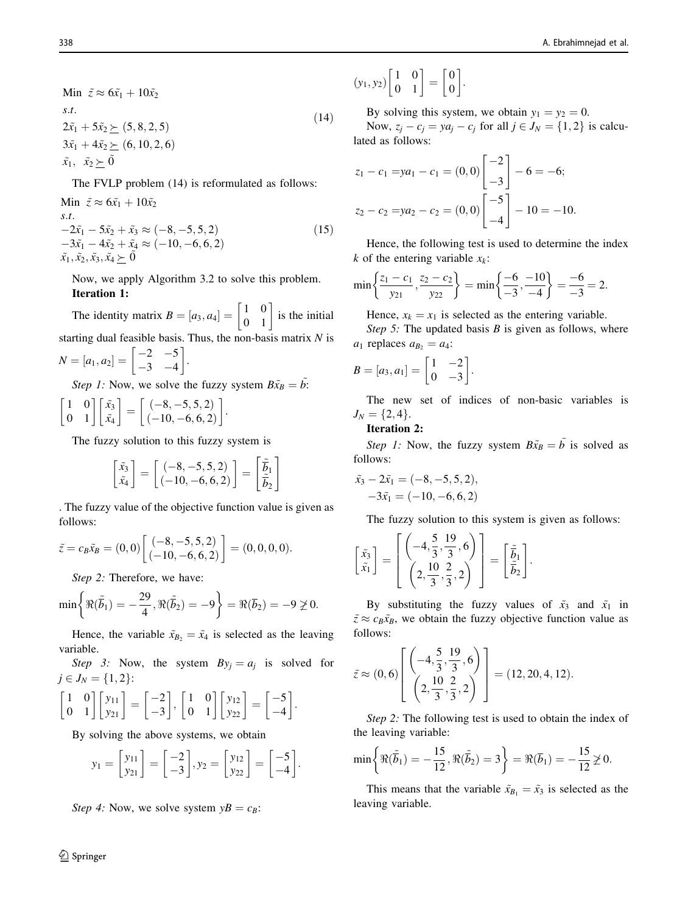Min 
$$
\tilde{z} \approx 6\tilde{x}_1 + 10\tilde{x}_2
$$
  
\ns.t.  
\n $2\tilde{x}_1 + 5\tilde{x}_2 \succeq (5, 8, 2, 5)$   
\n $3\tilde{x}_1 + 4\tilde{x}_2 \succeq (6, 10, 2, 6)$   
\n $\tilde{x}_1, \ \tilde{x}_2 \succeq \tilde{0}$  (14)

The FVLP problem (14) is reformulated as follows:

Min  $\tilde{z} \approx 6\tilde{x}_1 + 10\tilde{x}_2$ s.t.  $-2\tilde{x}_1 - 5\tilde{x}_2 + \tilde{x}_3 \approx (-8, -5, 5, 2)$  $-3\tilde{x}_1 - 4\tilde{x}_2 + \tilde{x}_4 \approx (-10, -6, 6, 2)$  $\tilde{x_1}, \tilde{x_2}, \tilde{x_3}, \tilde{x_4} \geq 0$  $(15)$ 

Now, we apply Algorithm 3.2 to solve this problem. Iteration 1:

The identity matrix  $B = [a_3, a_4] = \begin{bmatrix} 1 & 0 \\ 0 & 1 \end{bmatrix}$  is the initial starting dual feasible basis. Thus, the non-basis matrix N is

$$
N = [a_1, a_2] = \begin{bmatrix} -2 & -5 \\ -3 & -4 \end{bmatrix}.
$$

Step 1: Now, we solve the fuzzy system  $B\tilde{x}_B = \tilde{b}$ :

$$
\begin{bmatrix} 1 & 0 \\ 0 & 1 \end{bmatrix} \begin{bmatrix} \tilde{x}_3 \\ \tilde{x}_4 \end{bmatrix} = \begin{bmatrix} (-8, -5, 5, 2) \\ (-10, -6, 6, 2) \end{bmatrix}.
$$

The fuzzy solution to this fuzzy system is

$$
\begin{bmatrix} \tilde{x}_3\\ \tilde{x}_4 \end{bmatrix}=\begin{bmatrix} (-8,-5,5,2) \\ (-10,-6,6,2) \end{bmatrix}=\begin{bmatrix} \tilde{\tilde{b}}_1\\ \tilde{\tilde{b}}_2 \end{bmatrix}
$$

. The fuzzy value of the objective function value is given as follows:

$$
\tilde{z} = c_B \tilde{x}_B = (0,0) \begin{bmatrix} (-8, -5, 5, 2) \\ (-10, -6, 6, 2) \end{bmatrix} = (0,0,0,0).
$$

Step 2: Therefore, we have:

$$
\min\biggl\{\Re(\tilde{\overline{b}}_1)=-\frac{29}{4}, \Re(\tilde{\overline{b}}_2)=-9\biggr\}=\Re(\overline{b}_2)=-9\ngeq 0.
$$

Hence, the variable  $\tilde{x}_{B_2} = \tilde{x}_4$  is selected as the leaving variable.

Step 3: Now, the system  $By_j = a_j$  is solved for  $j \in J_N = \{1, 2\}$ :

$$
\begin{bmatrix} 1 & 0 \ 0 & 1 \end{bmatrix} \begin{bmatrix} y_{11} \\ y_{21} \end{bmatrix} = \begin{bmatrix} -2 \\ -3 \end{bmatrix}, \begin{bmatrix} 1 & 0 \\ 0 & 1 \end{bmatrix} \begin{bmatrix} y_{12} \\ y_{22} \end{bmatrix} = \begin{bmatrix} -5 \\ -4 \end{bmatrix}.
$$

By solving the above systems, we obtain

$$
y_1 = \begin{bmatrix} y_{11} \\ y_{21} \end{bmatrix} = \begin{bmatrix} -2 \\ -3 \end{bmatrix}, y_2 = \begin{bmatrix} y_{12} \\ y_{22} \end{bmatrix} = \begin{bmatrix} -5 \\ -4 \end{bmatrix}
$$

:

Step 4: Now, we solve system  $yB = c_B$ :

$$
\underline{\textcircled{\tiny 2}}
$$
 Springer

$$
(y_1, y_2)\begin{bmatrix} 1 & 0 \\ 0 & 1 \end{bmatrix} = \begin{bmatrix} 0 \\ 0 \end{bmatrix}
$$

By solving this system, we obtain  $y_1 = y_2 = 0$ .

:

Now,  $z_i - c_i = ya_i - c_i$  for all  $j \in J_N = \{1, 2\}$  is calculated as follows:

$$
z_1 - c_1 = ya_1 - c_1 = (0, 0) \begin{bmatrix} -2 \\ -3 \end{bmatrix} - 6 = -6;
$$
  

$$
z_2 - c_2 = ya_2 - c_2 = (0, 0) \begin{bmatrix} -5 \\ -4 \end{bmatrix} - 10 = -10.
$$

Hence, the following test is used to determine the index k of the entering variable  $x_k$ :

$$
\min\left\{\frac{z_1-c_1}{y_{21}}, \frac{z_2-c_2}{y_{22}}\right\} = \min\left\{\frac{-6}{-3}, \frac{-10}{-4}\right\} = \frac{-6}{-3} = 2.
$$

Hence,  $x_k = x_1$  is selected as the entering variable.

Step 5: The updated basis  $B$  is given as follows, where  $a_1$  replaces  $a_{B_2} = a_4$ :

$$
B=[a_3,a_1]=\begin{bmatrix}1&-2\\0&-3\end{bmatrix}.
$$

The new set of indices of non-basic variables is  $J_N = \{2, 4\}.$ 

### Iteration 2:

Step 1: Now, the fuzzy system  $B\tilde{x}_B = \tilde{b}$  is solved as follows:

$$
\tilde{x}_3 - 2\tilde{x}_1 = (-8, -5, 5, 2), \n-3\tilde{x}_1 = (-10, -6, 6, 2)
$$

The fuzzy solution to this system is given as follows:

$$
\begin{bmatrix} \tilde{x_3} \\ \tilde{x_1} \end{bmatrix} = \begin{bmatrix} \left( -4, \frac{5}{3}, \frac{19}{3}, 6 \right) \\ \left( 2, \frac{10}{3}, \frac{2}{3}, 2 \right) \end{bmatrix} = \begin{bmatrix} \tilde{b}_1 \\ \tilde{b}_2 \end{bmatrix}.
$$

By substituting the fuzzy values of  $\tilde{x}_3$  and  $\tilde{x}_1$  in  $\tilde{z} \approx c_B \tilde{x}_B$ , we obtain the fuzzy objective function value as follows:

$$
\tilde{z} \approx (0, 6) \left[ \begin{pmatrix} -4, \frac{5}{3}, \frac{19}{3}, 6 \\ \left( 2, \frac{10}{3}, \frac{2}{3}, 2 \right) \end{pmatrix} \right] = (12, 20, 4, 12).
$$

Step 2: The following test is used to obtain the index of the leaving variable:

$$
\min\left\{\Re(\tilde{\overline{b}}_1)=-\frac{15}{12}, \Re(\tilde{\overline{b}}_2)=3\right\}=\Re(\overline{b}_1)=-\frac{15}{12}\ngeq 0.
$$

This means that the variable  $\tilde{x}_{B_1} = \tilde{x}_3$  is selected as the leaving variable.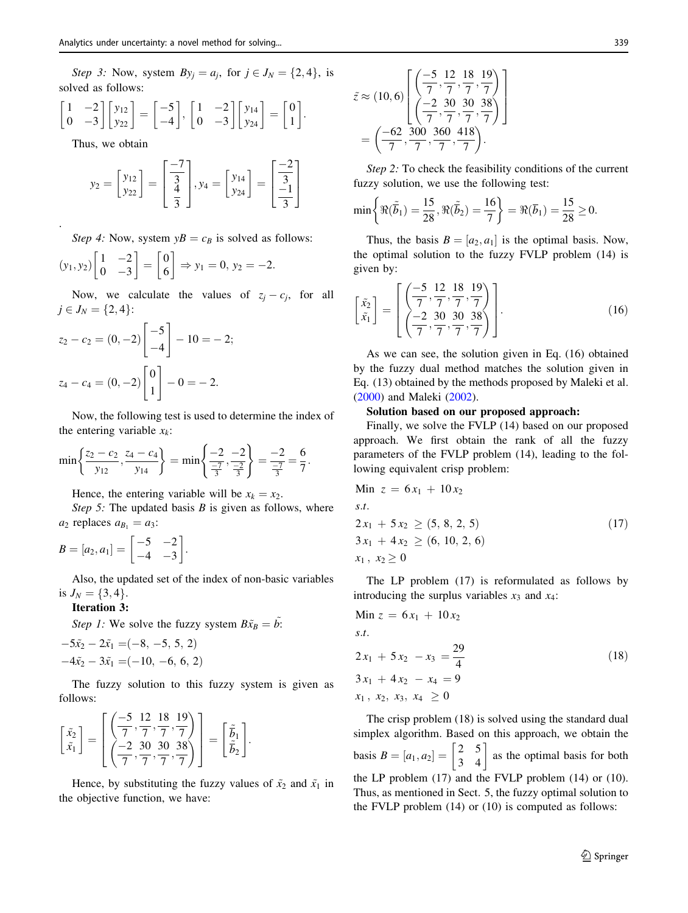Step 3: Now, system  $By_i = a_i$ , for  $j \in J_N = \{2, 4\}$ , is solved as follows:

$$
\begin{bmatrix} 1 & -2 \ 0 & -3 \end{bmatrix} \begin{bmatrix} y_{12} \\ y_{22} \end{bmatrix} = \begin{bmatrix} -5 \\ -4 \end{bmatrix}, \begin{bmatrix} 1 & -2 \\ 0 & -3 \end{bmatrix} \begin{bmatrix} y_{14} \\ y_{24} \end{bmatrix} = \begin{bmatrix} 0 \\ 1 \end{bmatrix}.
$$

Thus, we obtain

.

$$
y_2 = \begin{bmatrix} y_{12} \\ y_{22} \end{bmatrix} = \begin{bmatrix} \frac{-7}{3} \\ \frac{4}{3} \end{bmatrix}, y_4 = \begin{bmatrix} y_{14} \\ y_{24} \end{bmatrix} = \begin{bmatrix} \frac{-2}{3} \\ \frac{-1}{3} \end{bmatrix}
$$

Step 4: Now, system  $yB = c_B$  is solved as follows:

$$
(y_1, y_2)\begin{bmatrix} 1 & -2 \\ 0 & -3 \end{bmatrix} = \begin{bmatrix} 0 \\ 6 \end{bmatrix} \Rightarrow y_1 = 0, y_2 = -2.
$$

Now, we calculate the values of  $z_i - c_i$ , for all  $j \in J_N = \{2, 4\}$ :

$$
z_2 - c_2 = (0, -2) \begin{bmatrix} -5 \\ -4 \end{bmatrix} - 10 = -2;
$$
  

$$
z_4 - c_4 = (0, -2) \begin{bmatrix} 0 \\ 1 \end{bmatrix} - 0 = -2.
$$

Now, the following test is used to determine the index of the entering variable  $x_k$ :

$$
\min\left\{\frac{z_2-c_2}{y_{12}}, \frac{z_4-c_4}{y_{14}}\right\} = \min\left\{\frac{-2}{\frac{-7}{3}}, \frac{-2}{\frac{-2}{3}}\right\} = \frac{-2}{\frac{-7}{3}} = \frac{6}{7}.
$$

Hence, the entering variable will be  $x_k = x_2$ .

Step 5: The updated basis  $B$  is given as follows, where  $a_2$  replaces  $a_{B_1} = a_3$ :

$$
B=[a_2,a_1]=\begin{bmatrix}-5&-2\\-4&-3\end{bmatrix}.
$$

Also, the updated set of the index of non-basic variables is  $J_N = \{3, 4\}.$ 

Iteration 3:

Step 1: We solve the fuzzy system  $B\tilde{x}_B = \tilde{b}$ .

$$
-5\tilde{x}_2 - 2\tilde{x}_1 = (-8, -5, 5, 2)
$$
  

$$
-4\tilde{x}_2 - 3\tilde{x}_1 = (-10, -6, 6, 2)
$$

The fuzzy solution to this fuzzy system is given as follows:

$$
\begin{bmatrix} \tilde{x}_2 \\ \tilde{x}_1 \end{bmatrix} = \begin{bmatrix} \left( \frac{-5}{7}, \frac{12}{7}, \frac{18}{7}, \frac{19}{7} \right) \\ \left( \frac{-2}{7}, \frac{30}{7}, \frac{30}{7}, \frac{38}{7} \right) \end{bmatrix} = \begin{bmatrix} \tilde{\tilde{b}}_1 \\ \tilde{\tilde{b}}_2 \end{bmatrix}.
$$

Hence, by substituting the fuzzy values of  $\tilde{x}_2$  and  $\tilde{x}_1$  in the objective function, we have:

$$
\tilde{z} \approx (10,6) \left[ \frac{\left( \frac{-5}{7}, \frac{12}{7}, \frac{18}{7}, \frac{19}{7} \right)}{\left( \frac{-2}{7}, \frac{30}{7}, \frac{30}{7}, \frac{38}{7} \right)} \right]
$$

$$
= \left( \frac{-62}{7}, \frac{300}{7}, \frac{360}{7}, \frac{418}{7} \right).
$$

Step 2: To check the feasibility conditions of the current fuzzy solution, we use the following test:

$$
\min\biggl\{\Re(\widetilde{\overline{b}}_1)=\frac{15}{28}, \Re(\widetilde{\overline{b}}_2)=\frac{16}{7}\biggr\}=\Re(\overline{b}_1)=\frac{15}{28}\geq 0.
$$

Thus, the basis  $B = [a_2, a_1]$  is the optimal basis. Now, the optimal solution to the fuzzy FVLP problem (14) is given by:

$$
\begin{bmatrix} \tilde{x}_2 \\ \tilde{x}_1 \end{bmatrix} = \begin{bmatrix} \left( \frac{-5}{7}, \frac{12}{7}, \frac{18}{7}, \frac{19}{7} \right) \\ \left( \frac{-2}{7}, \frac{30}{7}, \frac{30}{7}, \frac{38}{7} \right) \end{bmatrix}.
$$
 (16)

As we can see, the solution given in Eq. (16) obtained by the fuzzy dual method matches the solution given in Eq. (13) obtained by the methods proposed by Maleki et al. [\(2000](#page-19-0)) and Maleki ([2002\)](#page-19-0).

# Solution based on our proposed approach:

Finally, we solve the FVLP (14) based on our proposed approach. We first obtain the rank of all the fuzzy parameters of the FVLP problem (14), leading to the following equivalent crisp problem:

Min 
$$
z = 6x_1 + 10x_2
$$

s.t.

$$
2x_1 + 5x_2 \ge (5, 8, 2, 5) 3x_1 + 4x_2 \ge (6, 10, 2, 6) x_1, x_2 \ge 0
$$
 (17)

The LP problem (17) is reformulated as follows by introducing the surplus variables  $x_3$  and  $x_4$ :

Min 
$$
z = 6x_1 + 10x_2
$$
  
s.t.  

$$
2x_1 + 5x_2 - x_3 = \frac{29}{4}
$$

$$
3x_1 + 4x_2 - x_4 = 9
$$

$$
x_1, x_2, x_3, x_4 \ge 0
$$

$$
(18)
$$

The crisp problem (18) is solved using the standard dual simplex algorithm. Based on this approach, we obtain the basis  $B = [a_1, a_2] = \begin{bmatrix} 2 & 5 \\ 3 & 4 \end{bmatrix}$  as the optimal basis for both the LP problem (17) and the FVLP problem (14) or (10). Thus, as mentioned in Sect. 5, the fuzzy optimal solution to the FVLP problem (14) or (10) is computed as follows: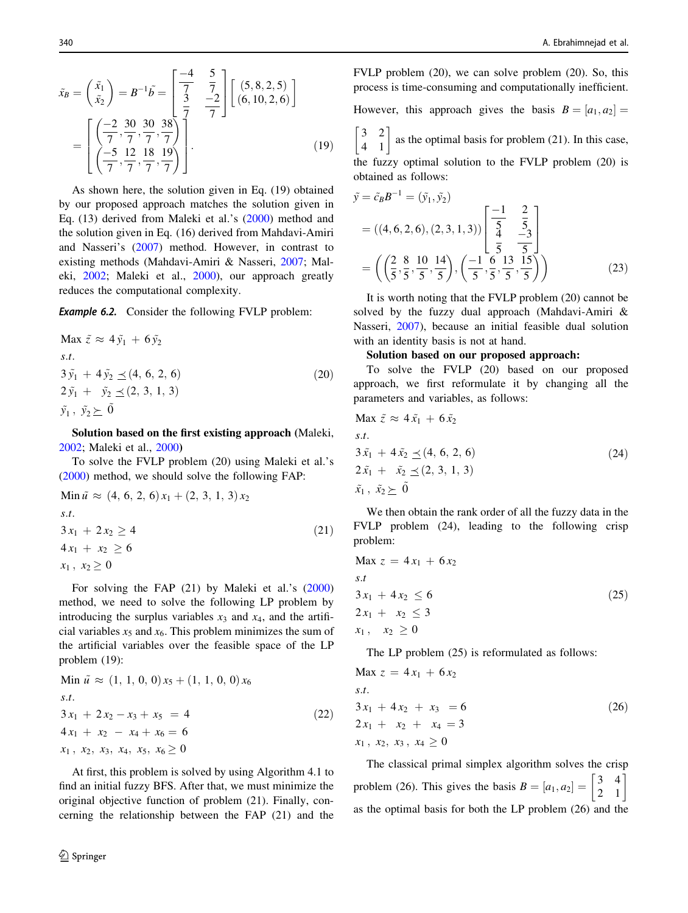$$
\tilde{x}_B = \begin{pmatrix} \tilde{x}_1 \\ \tilde{x}_2 \end{pmatrix} = B^{-1} \tilde{b} = \begin{bmatrix} \frac{-4}{7} & \frac{5}{7} \\ \frac{3}{7} & \frac{-2}{7} \end{bmatrix} \begin{bmatrix} (5, 8, 2, 5) \\ (6, 10, 2, 6) \end{bmatrix}
$$

$$
= \begin{bmatrix} \left( \frac{-2}{7}, \frac{30}{7}, \frac{30}{7}, \frac{38}{7} \right) \\ \left( \frac{-5}{7}, \frac{12}{7}, \frac{18}{7}, \frac{19}{7} \right) \end{bmatrix} .
$$
(19)

As shown here, the solution given in Eq. (19) obtained by our proposed approach matches the solution given in Eq. (13) derived from Maleki et al.'s ([2000](#page-19-0)) method and the solution given in Eq. (16) derived from Mahdavi-Amiri and Nasseri's ([2007\)](#page-19-0) method. However, in contrast to existing methods (Mahdavi-Amiri & Nasseri, [2007;](#page-19-0) Maleki, [2002;](#page-19-0) Maleki et al., [2000](#page-19-0)), our approach greatly reduces the computational complexity.

**Example 6.2.** Consider the following FVLP problem:

Max  $\tilde{z} \approx 4 \tilde{y}_1 + 6 \tilde{y}_2$  $s.t.$  $3\tilde{v}_1 + 4\tilde{v}_2 \preceq (4, 6, 2, 6)$  $2 \tilde{y}_1 + \tilde{y}_2 \prec (2, 3, 1, 3)$  $\tilde{y}_1$ ,  $\tilde{y}_2 \succ 0$  $(20)$ 

Solution based on the first existing approach (Maleki, [2002;](#page-19-0) Maleki et al., [2000](#page-19-0))

To solve the FVLP problem (20) using Maleki et al.'s [\(2000](#page-19-0)) method, we should solve the following FAP:

Min 
$$
\tilde{u} \approx (4, 6, 2, 6) x_1 + (2, 3, 1, 3) x_2
$$
  
s.t.  

$$
3 x_1 + 2 x_2 \ge 4
$$

$$
4 x_1 + x_2 \ge 6
$$

$$
x_1, x_2 \ge 0
$$

$$
(21)
$$

For solving the FAP (21) by Maleki et al.'s ([2000\)](#page-19-0) method, we need to solve the following LP problem by introducing the surplus variables  $x_3$  and  $x_4$ , and the artificial variables  $x_5$  and  $x_6$ . This problem minimizes the sum of the artificial variables over the feasible space of the LP problem (19):

Min 
$$
\tilde{u} \approx (1, 1, 0, 0) x_5 + (1, 1, 0, 0) x_6
$$
  
s.t.  

$$
3x_1 + 2x_2 - x_3 + x_5 = 4
$$

$$
4x_1 + x_2 - x_4 + x_6 = 6
$$

$$
x_1, x_2, x_3, x_4, x_5, x_6 \ge 0
$$

$$
(22)
$$

At first, this problem is solved by using Algorithm 4.1 to find an initial fuzzy BFS. After that, we must minimize the original objective function of problem (21). Finally, concerning the relationship between the FAP (21) and the FVLP problem (20), we can solve problem (20). So, this process is time-consuming and computationally inefficient.

However, this approach gives the basis  $B = [a_1, a_2]$ .

 $\begin{bmatrix} 3 & 2 \\ 4 & 1 \end{bmatrix}$  as the optimal basis for problem (21). In this case,

the fuzzy optimal solution to the FVLP problem (20) is obtained as follows:

$$
\tilde{y} = \tilde{c}_B B^{-1} = (\tilde{y}_1, \tilde{y}_2)
$$
\n
$$
= ((4, 6, 2, 6), (2, 3, 1, 3)) \begin{bmatrix} -1 & 2 \\ \frac{5}{4} & \frac{5}{5} \\ \frac{4}{5} & \frac{-3}{5} \end{bmatrix}
$$
\n
$$
= \left( \left( \frac{2}{5}, \frac{8}{5}, \frac{10}{5}, \frac{14}{5} \right), \left( \frac{-1}{5}, \frac{6}{5}, \frac{13}{5}, \frac{15}{5} \right) \right)
$$
\n(23)

It is worth noting that the FVLP problem (20) cannot be solved by the fuzzy dual approach (Mahdavi-Amiri & Nasseri, [2007](#page-19-0)), because an initial feasible dual solution with an identity basis is not at hand.

#### Solution based on our proposed approach:

To solve the FVLP (20) based on our proposed approach, we first reformulate it by changing all the parameters and variables, as follows:

Max 
$$
\tilde{z} \approx 4\tilde{x}_1 + 6\tilde{x}_2
$$
  
s.t.  
 $3\tilde{x}_1 + 4\tilde{x}_2 \le (4, 6, 2, 6)$   
 $2\tilde{x}_1 + \tilde{x}_2 \le (2, 3, 1, 3)$   
 $\tilde{x}_1, \tilde{x}_2 \ge 0$  (24)

We then obtain the rank order of all the fuzzy data in the FVLP problem (24), leading to the following crisp problem:

$$
\begin{aligned}\n\text{Max } z &= 4x_1 + 6x_2 \\
\text{s.t} \\
3x_1 + 4x_2 &\le 6 \\
2x_1 + x_2 &\le 3 \\
x_1, \quad x_2 &\ge 0\n\end{aligned} \tag{25}
$$

The LP problem (25) is reformulated as follows:

s:t:

$$
\begin{aligned}\n\text{Max } z &= 4x_1 + 6x_2 \\
\text{s.t.} \\
3x_1 + 4x_2 + x_3 &= 6 \\
2x_1 + x_2 + x_4 &= 3 \\
x_1, x_2, x_3, x_4 &\ge 0\n\end{aligned} \tag{26}
$$

The classical primal simplex algorithm solves the crisp problem (26). This gives the basis  $B = [a_1, a_2] = \begin{bmatrix} 3 & 4 \\ 2 & 1 \end{bmatrix}$ as the optimal basis for both the LP problem (26) and the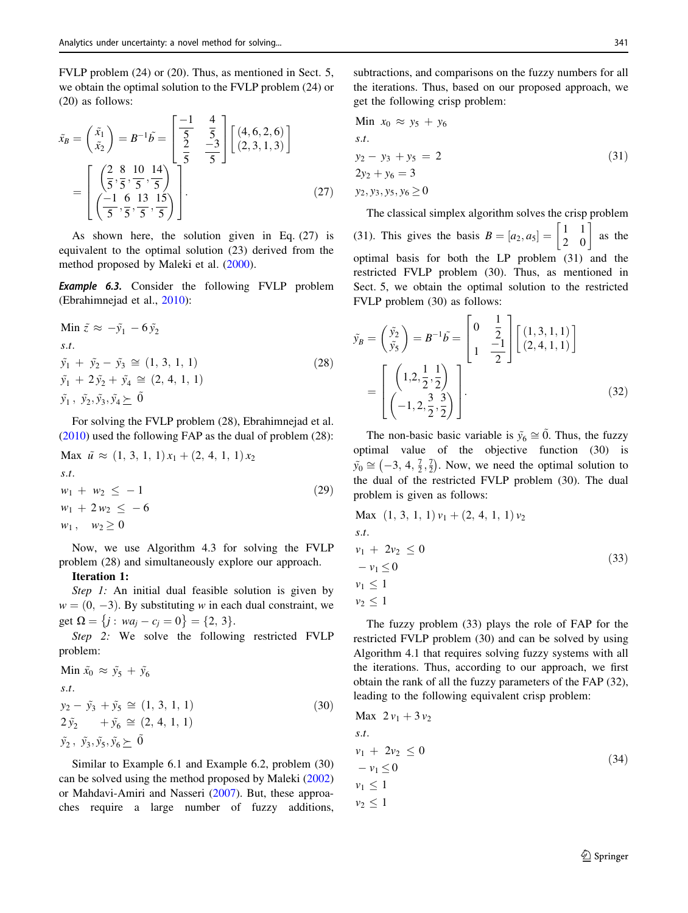FVLP problem (24) or (20). Thus, as mentioned in Sect. 5, we obtain the optimal solution to the FVLP problem (24) or (20) as follows:

$$
\tilde{x}_B = \begin{pmatrix} \tilde{x}_1 \\ \tilde{x}_2 \end{pmatrix} = B^{-1} \tilde{b} = \begin{bmatrix} \frac{-1}{5} & \frac{4}{5} \\ \frac{2}{5} & \frac{-3}{5} \end{bmatrix} \begin{bmatrix} (4, 6, 2, 6) \\ (2, 3, 1, 3) \end{bmatrix}
$$

$$
= \begin{bmatrix} \left(\frac{2}{5}, \frac{8}{5}, \frac{10}{5}, \frac{14}{5}\right) \\ \left(\frac{-1}{5}, \frac{6}{5}, \frac{13}{5}, \frac{15}{5}\right) \end{bmatrix} .
$$
(27)

As shown here, the solution given in Eq. (27) is equivalent to the optimal solution (23) derived from the method proposed by Maleki et al. [\(2000](#page-19-0)).

**Example 6.3.** Consider the following FVLP problem (Ebrahimnejad et al., [2010](#page-19-0)):

Min 
$$
\tilde{z} \approx -\tilde{y}_1 - 6\tilde{y}_2
$$
  
\ns.t.  
\n $\tilde{y}_1 + \tilde{y}_2 - \tilde{y}_3 \approx (1, 3, 1, 1)$   
\n $\tilde{y}_1 + 2\tilde{y}_2 + \tilde{y}_4 \approx (2, 4, 1, 1)$   
\n $\tilde{y}_1, \tilde{y}_2, \tilde{y}_3, \tilde{y}_4 \succeq \tilde{0}$ \n(28)

For solving the FVLP problem (28), Ebrahimnejad et al. [\(2010](#page-19-0)) used the following FAP as the dual of problem (28):

$$
\begin{aligned} \text{Max } \tilde{u} &\approx (1, 3, 1, 1)x_1 + (2, 4, 1, 1)x_2\\ \text{s.t.}\\ w_1 + w_2 &\leq -1\\ w_1 + 2w_2 &\leq -6\\ w_1, \quad w_2 &\geq 0 \end{aligned} \tag{29}
$$

Now, we use Algorithm 4.3 for solving the FVLP problem (28) and simultaneously explore our approach.

#### Iteration 1:

Step 1: An initial dual feasible solution is given by  $w = (0, -3)$ . By substituting w in each dual constraint, we get  $\Omega = \{j : wa_j - c_j = 0\} = \{2, 3\}.$ 

Step 2: We solve the following restricted FVLP problem:

Min 
$$
\tilde{x}_0 \approx \tilde{y}_5 + \tilde{y}_6
$$
  
\ns.t.  
\n $y_2 - \tilde{y}_3 + \tilde{y}_5 \approx (1, 3, 1, 1)$   
\n $2\tilde{y}_2 + \tilde{y}_6 \approx (2, 4, 1, 1)$   
\n $\tilde{y}_2, \tilde{y}_3, \tilde{y}_5, \tilde{y}_6 \succeq \tilde{0}$  (30)

Similar to Example 6.1 and Example 6.2, problem (30) can be solved using the method proposed by Maleki ([2002\)](#page-19-0) or Mahdavi-Amiri and Nasseri [\(2007](#page-19-0)). But, these approaches require a large number of fuzzy additions, subtractions, and comparisons on the fuzzy numbers for all the iterations. Thus, based on our proposed approach, we get the following crisp problem:

Min 
$$
x_0 \approx y_5 + y_6
$$
  
\ns.t.  
\n $y_2 - y_3 + y_5 = 2$   
\n $2y_2 + y_6 = 3$   
\n $y_2, y_3, y_5, y_6 \ge 0$  (31)

The classical simplex algorithm solves the crisp problem (31). This gives the basis  $B = [a_2, a_5] = \begin{bmatrix} 1 & 1 \\ 2 & 0 \end{bmatrix}$  as the optimal basis for both the LP problem (31) and the restricted FVLP problem (30). Thus, as mentioned in Sect. 5, we obtain the optimal solution to the restricted FVLP problem (30) as follows:

$$
\tilde{y}_B = \begin{pmatrix} \tilde{y}_2 \\ \tilde{y}_5 \end{pmatrix} = B^{-1} \tilde{b} = \begin{bmatrix} 0 & \frac{1}{2} \\ 1 & \frac{-1}{2} \end{bmatrix} \begin{bmatrix} (1,3,1,1) \\ (2,4,1,1) \end{bmatrix} = \begin{bmatrix} 1,2,\frac{1}{2},\frac{1}{2} \\ (-1,2,\frac{3}{2},\frac{3}{2}) \end{bmatrix}.
$$
\n(32)

The non-basic basic variable is  $\tilde{y}_6 \cong 0$ . Thus, the fuzzy optimal value of the objective function (30) is  $\tilde{y}_0 \cong \left(-3, 4, \frac{7}{2}, \frac{7}{2}\right)$  $(-3, 4, \frac{7}{2}, \frac{7}{2})$ . Now, we need the optimal solution to the dual of the restricted FVLP problem (30). The dual problem is given as follows:

$$
\begin{aligned}\n\text{Max} & (1, 3, 1, 1) \, v_1 + (2, 4, 1, 1) \, v_2 \\
\text{s.t.} \\
v_1 + 2v_2 &\le 0 \\
-v_1 &\le 0 \\
v_1 &\le 1 \\
v_2 &\le 1\n\end{aligned} \tag{33}
$$

The fuzzy problem (33) plays the role of FAP for the restricted FVLP problem (30) and can be solved by using Algorithm 4.1 that requires solving fuzzy systems with all the iterations. Thus, according to our approach, we first obtain the rank of all the fuzzy parameters of the FAP (32), leading to the following equivalent crisp problem:

$$
\begin{aligned}\n\text{Max } & 2v_1 + 3v_2 \\
\text{s.t.} \\
v_1 + 2v_2 &\leq 0 \\
-v_1 &\leq 0 \\
v_1 &\leq 1 \\
v_2 &\leq 1\n\end{aligned} \tag{34}
$$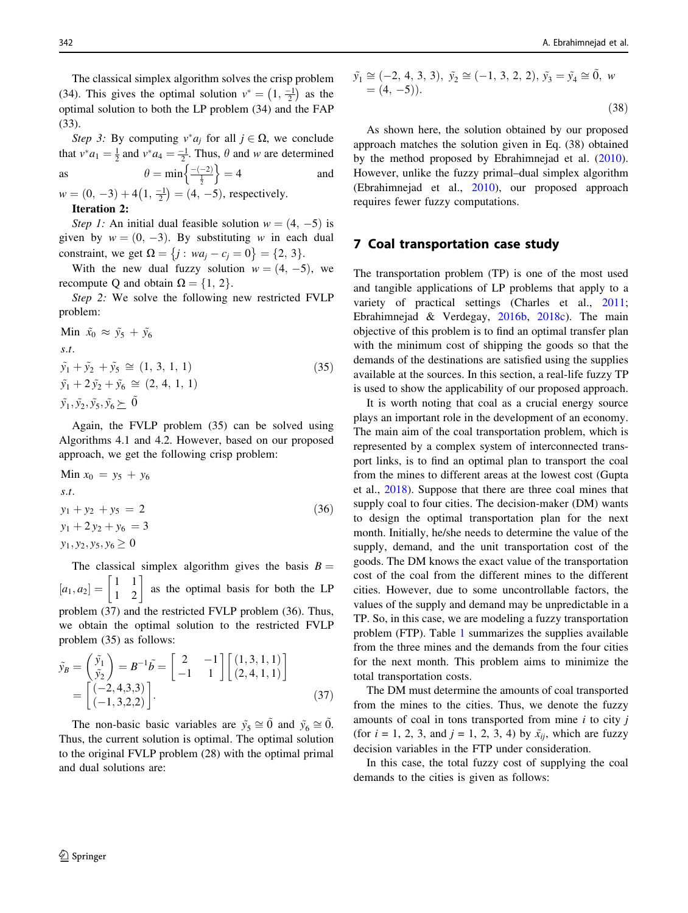The classical simplex algorithm solves the crisp problem (34). This gives the optimal solution  $v^* = \left(1, \frac{-1}{2}\right)$  $\left(1, \frac{-1}{2}\right)$  as the optimal solution to both the LP problem (34) and the FAP (33).

Step 3: By computing  $v^* a_i$  for all  $j \in \Omega$ , we conclude that  $v^* a_1 = \frac{1}{2}$  and  $v^* a_4 = \frac{-1}{2}$ . Thus,  $\theta$  and w are determined as  $\theta = \min \left\{ \frac{-(-2)}{\frac{1}{2}} \right\} = 4$  and

 $w = (0, -3) + 4(1, \frac{-1}{2})$  $(1, \frac{-1}{2}) = (4, -5)$ , respectively. Iteration 2:

Step 1: An initial dual feasible solution  $w = (4, -5)$  is given by  $w = (0, -3)$ . By substituting w in each dual constraint, we get  $\Omega = \{j : wa_i - c_i = 0\} = \{2, 3\}.$ 

With the new dual fuzzy solution  $w = (4, -5)$ , we recompute Q and obtain  $\Omega = \{1, 2\}$ .

Step 2: We solve the following new restricted FVLP problem:

Min  $\tilde{x}_0 \approx \tilde{y}_5 + \tilde{y}_6$  $s.t.$  $\tilde{y}_1 + \tilde{y}_2 + \tilde{y}_5 \cong (1, 3, 1, 1)$  $\tilde{y}_1 + 2 \tilde{y}_2 + \tilde{y}_6 \cong (2, 4, 1, 1)$  $\tilde{y}_1, \tilde{y}_2, \tilde{y}_5, \tilde{y}_6 \succeq \tilde{0}$  $(35)$ 

Again, the FVLP problem (35) can be solved using Algorithms 4.1 and 4.2. However, based on our proposed approach, we get the following crisp problem:

Min 
$$
x_0 = y_5 + y_6
$$
  
\n*s.t.*  
\n $y_1 + y_2 + y_5 = 2$   
\n $y_1 + 2y_2 + y_6 = 3$   
\n $y_1, y_2, y_5, y_6 \ge 0$  (36)

The classical simplex algorithm gives the basis  $B =$  $[a_1, a_2] = \begin{bmatrix} 1 & 1 \\ 1 & 2 \end{bmatrix}$  as the optimal basis for both the LP problem (37) and the restricted FVLP problem (36). Thus, we obtain the optimal solution to the restricted FVLP problem (35) as follows:

$$
\tilde{y}_B = \begin{pmatrix} \tilde{y}_1 \\ \tilde{y}_2 \end{pmatrix} = B^{-1} \tilde{b} = \begin{bmatrix} 2 & -1 \\ -1 & 1 \end{bmatrix} \begin{bmatrix} (1,3,1,1) \\ (2,4,1,1) \end{bmatrix} = \begin{bmatrix} (-2,4,3,3) \\ (-1,3,2,2) \end{bmatrix}.
$$
\n(37)

The non-basic basic variables are  $\tilde{y}_5 \cong 0$  and  $\tilde{y}_6 \cong 0$ . Thus, the current solution is optimal. The optimal solution to the original FVLP problem (28) with the optimal primal and dual solutions are:

$$
\tilde{y}_1 \cong (-2, 4, 3, 3), \ \tilde{y}_2 \cong (-1, 3, 2, 2), \ \tilde{y}_3 = \tilde{y}_4 \cong \tilde{0}, \ w = (4, -5)).
$$
\n(38)

As shown here, the solution obtained by our proposed approach matches the solution given in Eq. (38) obtained by the method proposed by Ebrahimnejad et al. [\(2010](#page-19-0)). However, unlike the fuzzy primal–dual simplex algorithm (Ebrahimnejad et al., [2010\)](#page-19-0), our proposed approach requires fewer fuzzy computations.

# 7 Coal transportation case study

The transportation problem (TP) is one of the most used and tangible applications of LP problems that apply to a variety of practical settings (Charles et al., [2011](#page-18-0); Ebrahimnejad & Verdegay, [2016b](#page-19-0), [2018c\)](#page-19-0). The main objective of this problem is to find an optimal transfer plan with the minimum cost of shipping the goods so that the demands of the destinations are satisfied using the supplies available at the sources. In this section, a real-life fuzzy TP is used to show the applicability of our proposed approach.

It is worth noting that coal as a crucial energy source plays an important role in the development of an economy. The main aim of the coal transportation problem, which is represented by a complex system of interconnected transport links, is to find an optimal plan to transport the coal from the mines to different areas at the lowest cost (Gupta et al., [2018\)](#page-19-0). Suppose that there are three coal mines that supply coal to four cities. The decision-maker (DM) wants to design the optimal transportation plan for the next month. Initially, he/she needs to determine the value of the supply, demand, and the unit transportation cost of the goods. The DM knows the exact value of the transportation cost of the coal from the different mines to the different cities. However, due to some uncontrollable factors, the values of the supply and demand may be unpredictable in a TP. So, in this case, we are modeling a fuzzy transportation problem (FTP). Table [1](#page-16-0) summarizes the supplies available from the three mines and the demands from the four cities for the next month. This problem aims to minimize the total transportation costs.

The DM must determine the amounts of coal transported from the mines to the cities. Thus, we denote the fuzzy amounts of coal in tons transported from mine  $i$  to city  $j$ (for  $i = 1, 2, 3$ , and  $j = 1, 2, 3, 4$ ) by  $\tilde{x}_{ij}$ , which are fuzzy decision variables in the FTP under consideration.

In this case, the total fuzzy cost of supplying the coal demands to the cities is given as follows: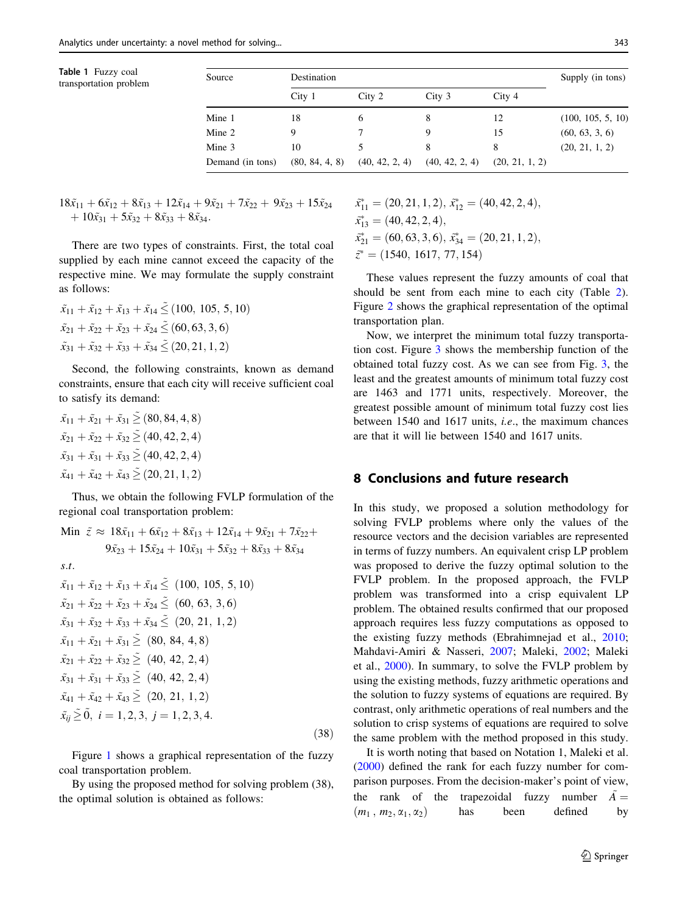| Table 1 Fuzzy coal     |  |
|------------------------|--|
| transportation problem |  |

<span id="page-16-0"></span>

| Table 1 Fuzzy coal<br>transportation problem | Source           | Destination       |                |                   |                | Supply (in tons)  |
|----------------------------------------------|------------------|-------------------|----------------|-------------------|----------------|-------------------|
|                                              |                  | City <sub>1</sub> | City 2         | City <sub>3</sub> | City 4         |                   |
|                                              | Mine 1           | 18                | 6              | 8                 | 12             | (100, 105, 5, 10) |
|                                              | Mine 2           | 9                 |                | 9                 | 15             | (60, 63, 3, 6)    |
|                                              | Mine 3           | 10                |                | 8                 | 8              | (20, 21, 1, 2)    |
|                                              | Demand (in tons) | (80, 84, 4, 8)    | (40, 42, 2, 4) | (40, 42, 2, 4)    | (20, 21, 1, 2) |                   |

 $18\tilde{x}_{11} + 6\tilde{x}_{12} + 8\tilde{x}_{13} + 12\tilde{x}_{14} + 9\tilde{x}_{21} + 7\tilde{x}_{22} + 9\tilde{x}_{23} + 15\tilde{x}_{24}$  $+10\tilde{x}_{31} + 5\tilde{x}_{32} + 8\tilde{x}_{33} + 8\tilde{x}_{34}.$ 

There are two types of constraints. First, the total coal supplied by each mine cannot exceed the capacity of the respective mine. We may formulate the supply constraint as follows:

$$
\tilde{x}_{11} + \tilde{x}_{12} + \tilde{x}_{13} + \tilde{x}_{14} \leq (100, 105, 5, 10)
$$
  

$$
\tilde{x}_{21} + \tilde{x}_{22} + \tilde{x}_{23} + \tilde{x}_{24} \leq (60, 63, 3, 6)
$$
  

$$
\tilde{x}_{31} + \tilde{x}_{32} + \tilde{x}_{33} + \tilde{x}_{34} \leq (20, 21, 1, 2)
$$

Second, the following constraints, known as demand constraints, ensure that each city will receive sufficient coal to satisfy its demand:

$$
\tilde{x}_{11} + \tilde{x}_{21} + \tilde{x}_{31} \geq (80, 84, 4, 8)
$$
  
\n
$$
\tilde{x}_{21} + \tilde{x}_{22} + \tilde{x}_{32} \geq (40, 42, 2, 4)
$$
  
\n
$$
\tilde{x}_{31} + \tilde{x}_{31} + \tilde{x}_{33} \geq (40, 42, 2, 4)
$$
  
\n
$$
\tilde{x}_{41} + \tilde{x}_{42} + \tilde{x}_{43} \geq (20, 21, 1, 2)
$$

Thus, we obtain the following FVLP formulation of the regional coal transportation problem:

Min 
$$
\tilde{z} \approx 18\tilde{x}_{11} + 6\tilde{x}_{12} + 8\tilde{x}_{13} + 12\tilde{x}_{14} + 9\tilde{x}_{21} + 7\tilde{x}_{22} + 9\tilde{x}_{23} + 15\tilde{x}_{24} + 10\tilde{x}_{31} + 5\tilde{x}_{32} + 8\tilde{x}_{33} + 8\tilde{x}_{34}
$$
  
s.t.  
 $\tilde{x}_{11} + \tilde{x}_{12} + \tilde{x}_{13} + \tilde{x}_{14} \leq (100, 105, 5, 10)$   
 $\tilde{x}_{21} + \tilde{x}_{22} + \tilde{x}_{23} + \tilde{x}_{24} \leq (60, 63, 3, 6)$   
 $\tilde{x}_{31} + \tilde{x}_{32} + \tilde{x}_{33} + \tilde{x}_{34} \leq (20, 21, 1, 2)$   
 $\tilde{x}_{11} + \tilde{x}_{21} + \tilde{x}_{31} \geq (80, 84, 4, 8)$   
 $\tilde{x}_{21} + \tilde{x}_{22} + \tilde{x}_{32} \geq (40, 42, 2, 4)$   
 $\tilde{x}_{31} + \tilde{x}_{31} + \tilde{x}_{33} \geq (40, 42, 2, 4)$   
 $\tilde{x}_{41} + \tilde{x}_{42} + \tilde{x}_{43} \geq (20, 21, 1, 2)$   
 $\tilde{x}_{ij} \geq 0, i = 1, 2, 3, j = 1, 2, 3, 4.$   
(38)

Figure [1](#page-17-0) shows a graphical representation of the fuzzy coal transportation problem.

By using the proposed method for solving problem (38), the optimal solution is obtained as follows:

 $\tilde{x}_{11}^* = (20, 21, 1, 2), \, \tilde{x}_{12}^* = (40, 42, 2, 4),$  $\tilde{x}_{13}^* = (40, 42, 2, 4),$  $\tilde{x}_{21}^* = (60, 63, 3, 6), \, \tilde{x}_{34}^* = (20, 21, 1, 2),$  $\tilde{z}^* = (1540, 1617, 77, 154)$ 

These values represent the fuzzy amounts of coal that should be sent from each mine to each city (Table [2](#page-17-0)). Figure [2](#page-17-0) shows the graphical representation of the optimal transportation plan.

Now, we interpret the minimum total fuzzy transportation cost. Figure [3](#page-18-0) shows the membership function of the obtained total fuzzy cost. As we can see from Fig. [3,](#page-18-0) the least and the greatest amounts of minimum total fuzzy cost are 1463 and 1771 units, respectively. Moreover, the greatest possible amount of minimum total fuzzy cost lies between 1540 and 1617 units, i.e., the maximum chances are that it will lie between 1540 and 1617 units.

# 8 Conclusions and future research

In this study, we proposed a solution methodology for solving FVLP problems where only the values of the resource vectors and the decision variables are represented in terms of fuzzy numbers. An equivalent crisp LP problem was proposed to derive the fuzzy optimal solution to the FVLP problem. In the proposed approach, the FVLP problem was transformed into a crisp equivalent LP problem. The obtained results confirmed that our proposed approach requires less fuzzy computations as opposed to the existing fuzzy methods (Ebrahimnejad et al., [2010](#page-19-0); Mahdavi-Amiri & Nasseri, [2007](#page-19-0); Maleki, [2002](#page-19-0); Maleki et al., [2000\)](#page-19-0). In summary, to solve the FVLP problem by using the existing methods, fuzzy arithmetic operations and the solution to fuzzy systems of equations are required. By contrast, only arithmetic operations of real numbers and the solution to crisp systems of equations are required to solve the same problem with the method proposed in this study.

It is worth noting that based on Notation 1, Maleki et al. [\(2000](#page-19-0)) defined the rank for each fuzzy number for comparison purposes. From the decision-maker's point of view, the rank of the trapezoidal fuzzy number  $A=$  $(m_1, m_2, \alpha_1, \alpha_2)$  has been defined by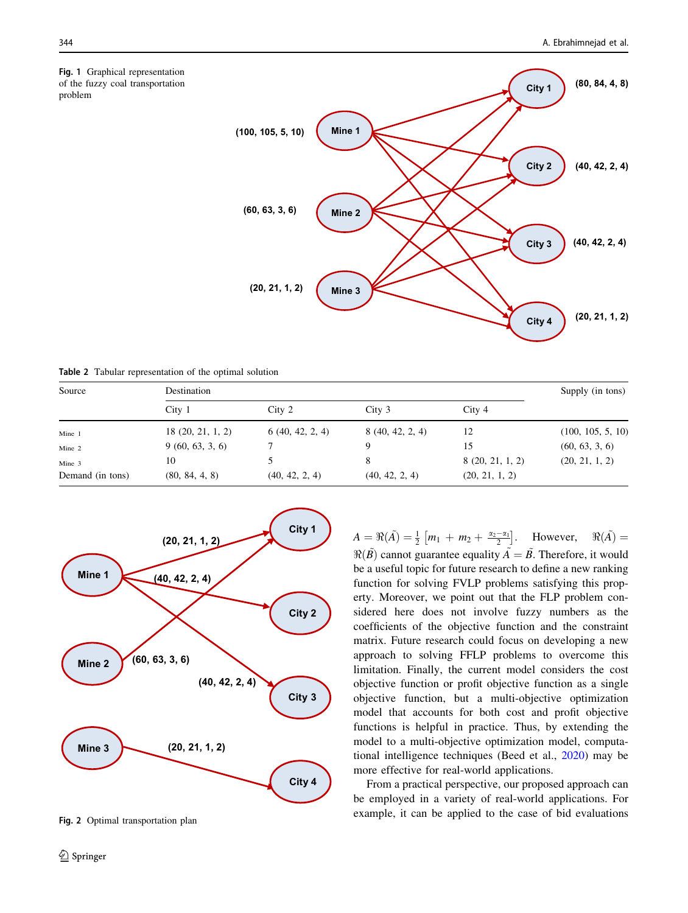problem

<span id="page-17-0"></span>Fig. 1 Graphical representation of the fuzzy coal transportation



| <b>Table 2</b> Tabular representation of the optimal solution |                   |                  |                   |                  |                   |  |  |  |  |
|---------------------------------------------------------------|-------------------|------------------|-------------------|------------------|-------------------|--|--|--|--|
| Source                                                        | Destination       | Supply (in tons) |                   |                  |                   |  |  |  |  |
|                                                               | City <sub>1</sub> | City 2           | City <sub>3</sub> | City 4           |                   |  |  |  |  |
| Mine 1                                                        | 18(20, 21, 1, 2)  | 6(40, 42, 2, 4)  | 8(40, 42, 2, 4)   | 12               | (100, 105, 5, 10) |  |  |  |  |
| Mine 2                                                        | 9(60, 63, 3, 6)   |                  | 9                 | 15               | (60, 63, 3, 6)    |  |  |  |  |
| Mine 3                                                        | 10                |                  | 8                 | 8 (20, 21, 1, 2) | (20, 21, 1, 2)    |  |  |  |  |
| Demand (in tons)                                              | (80, 84, 4, 8)    | (40, 42, 2, 4)   | (40, 42, 2, 4)    | (20, 21, 1, 2)   |                   |  |  |  |  |



Fig. 2 Optimal transportation plan

 $A = \Re(\tilde{A}) = \frac{1}{2} [m_1 + m_2 + \frac{\alpha_2 - \alpha_1}{2}]$ . However,  $\Re(\tilde{A}) =$  $\Re(\tilde{B})$  cannot guarantee equality  $\tilde{A} = \tilde{B}$ . Therefore, it would be a useful topic for future research to define a new ranking function for solving FVLP problems satisfying this property. Moreover, we point out that the FLP problem considered here does not involve fuzzy numbers as the coefficients of the objective function and the constraint matrix. Future research could focus on developing a new approach to solving FFLP problems to overcome this limitation. Finally, the current model considers the cost objective function or profit objective function as a single objective function, but a multi-objective optimization model that accounts for both cost and profit objective functions is helpful in practice. Thus, by extending the model to a multi-objective optimization model, computational intelligence techniques (Beed et al., [2020](#page-18-0)) may be more effective for real-world applications.

From a practical perspective, our proposed approach can be employed in a variety of real-world applications. For example, it can be applied to the case of bid evaluations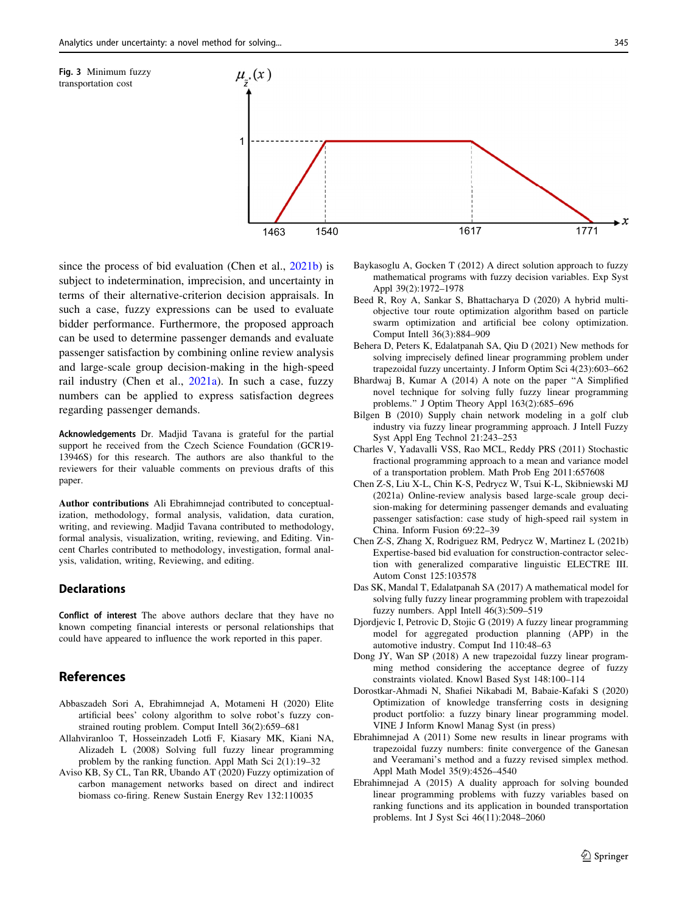<span id="page-18-0"></span>

since the process of bid evaluation (Chen et al., 2021b) is subject to indetermination, imprecision, and uncertainty in terms of their alternative-criterion decision appraisals. In such a case, fuzzy expressions can be used to evaluate bidder performance. Furthermore, the proposed approach can be used to determine passenger demands and evaluate passenger satisfaction by combining online review analysis and large-scale group decision-making in the high-speed rail industry (Chen et al., 2021a). In such a case, fuzzy numbers can be applied to express satisfaction degrees regarding passenger demands.

Acknowledgements Dr. Madjid Tavana is grateful for the partial support he received from the Czech Science Foundation (GCR19- 13946S) for this research. The authors are also thankful to the reviewers for their valuable comments on previous drafts of this paper.

Author contributions Ali Ebrahimnejad contributed to conceptualization, methodology, formal analysis, validation, data curation, writing, and reviewing. Madjid Tavana contributed to methodology, formal analysis, visualization, writing, reviewing, and Editing. Vincent Charles contributed to methodology, investigation, formal analysis, validation, writing, Reviewing, and editing.

#### **Declarations**

Conflict of interest The above authors declare that they have no known competing financial interests or personal relationships that could have appeared to influence the work reported in this paper.

### References

- Abbaszadeh Sori A, Ebrahimnejad A, Motameni H (2020) Elite artificial bees' colony algorithm to solve robot's fuzzy constrained routing problem. Comput Intell 36(2):659–681
- Allahviranloo T, Hosseinzadeh Lotfi F, Kiasary MK, Kiani NA, Alizadeh L (2008) Solving full fuzzy linear programming problem by the ranking function. Appl Math Sci 2(1):19–32
- Aviso KB, Sy CL, Tan RR, Ubando AT (2020) Fuzzy optimization of carbon management networks based on direct and indirect biomass co-firing. Renew Sustain Energy Rev 132:110035
- Baykasoglu A, Gocken T (2012) A direct solution approach to fuzzy mathematical programs with fuzzy decision variables. Exp Syst Appl 39(2):1972–1978
- Beed R, Roy A, Sankar S, Bhattacharya D (2020) A hybrid multiobjective tour route optimization algorithm based on particle swarm optimization and artificial bee colony optimization. Comput Intell 36(3):884–909
- Behera D, Peters K, Edalatpanah SA, Qiu D (2021) New methods for solving imprecisely defined linear programming problem under trapezoidal fuzzy uncertainty. J Inform Optim Sci 4(23):603–662
- Bhardwaj B, Kumar A (2014) A note on the paper ''A Simplified novel technique for solving fully fuzzy linear programming problems.'' J Optim Theory Appl 163(2):685–696
- Bilgen B (2010) Supply chain network modeling in a golf club industry via fuzzy linear programming approach. J Intell Fuzzy Syst Appl Eng Technol 21:243–253
- Charles V, Yadavalli VSS, Rao MCL, Reddy PRS (2011) Stochastic fractional programming approach to a mean and variance model of a transportation problem. Math Prob Eng 2011:657608
- Chen Z-S, Liu X-L, Chin K-S, Pedrycz W, Tsui K-L, Skibniewski MJ (2021a) Online-review analysis based large-scale group decision-making for determining passenger demands and evaluating passenger satisfaction: case study of high-speed rail system in China. Inform Fusion 69:22–39
- Chen Z-S, Zhang X, Rodriguez RM, Pedrycz W, Martinez L (2021b) Expertise-based bid evaluation for construction-contractor selection with generalized comparative linguistic ELECTRE III. Autom Const 125:103578
- Das SK, Mandal T, Edalatpanah SA (2017) A mathematical model for solving fully fuzzy linear programming problem with trapezoidal fuzzy numbers. Appl Intell 46(3):509–519
- Djordjevic I, Petrovic D, Stojic G (2019) A fuzzy linear programming model for aggregated production planning (APP) in the automotive industry. Comput Ind 110:48–63
- Dong JY, Wan SP (2018) A new trapezoidal fuzzy linear programming method considering the acceptance degree of fuzzy constraints violated. Knowl Based Syst 148:100–114
- Dorostkar-Ahmadi N, Shafiei Nikabadi M, Babaie-Kafaki S (2020) Optimization of knowledge transferring costs in designing product portfolio: a fuzzy binary linear programming model. VINE J Inform Knowl Manag Syst (in press)
- Ebrahimnejad A (2011) Some new results in linear programs with trapezoidal fuzzy numbers: finite convergence of the Ganesan and Veeramani's method and a fuzzy revised simplex method. Appl Math Model 35(9):4526–4540
- Ebrahimnejad A (2015) A duality approach for solving bounded linear programming problems with fuzzy variables based on ranking functions and its application in bounded transportation problems. Int J Syst Sci 46(11):2048–2060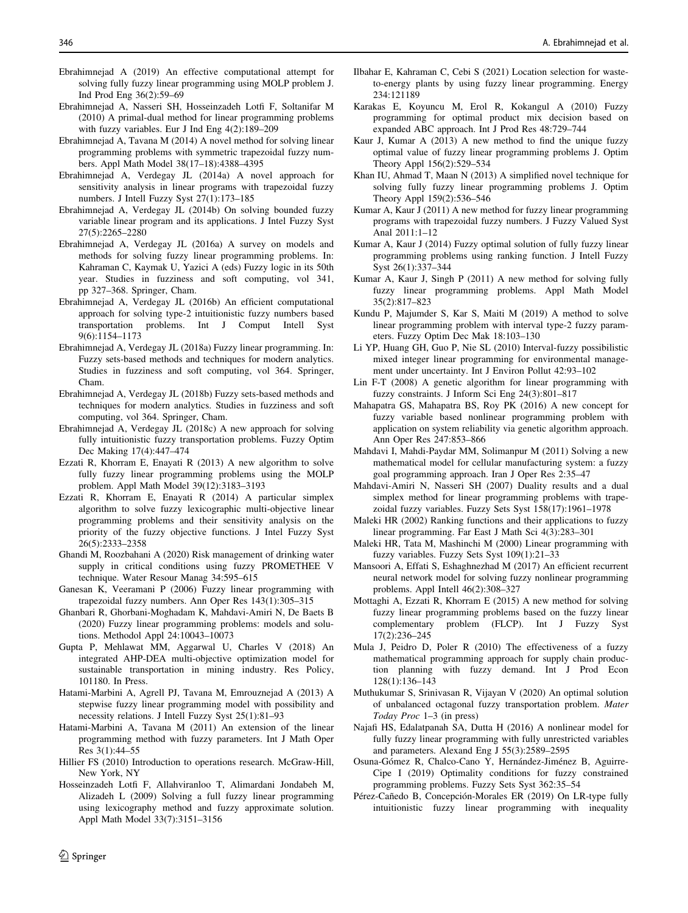- <span id="page-19-0"></span>Ebrahimnejad A (2019) An effective computational attempt for solving fully fuzzy linear programming using MOLP problem J. Ind Prod Eng 36(2):59–69
- Ebrahimnejad A, Nasseri SH, Hosseinzadeh Lotfi F, Soltanifar M (2010) A primal-dual method for linear programming problems with fuzzy variables. Eur J Ind Eng 4(2):189–209
- Ebrahimnejad A, Tavana M (2014) A novel method for solving linear programming problems with symmetric trapezoidal fuzzy numbers. Appl Math Model 38(17–18):4388–4395
- Ebrahimnejad A, Verdegay JL (2014a) A novel approach for sensitivity analysis in linear programs with trapezoidal fuzzy numbers. J Intell Fuzzy Syst 27(1):173–185
- Ebrahimnejad A, Verdegay JL (2014b) On solving bounded fuzzy variable linear program and its applications. J Intel Fuzzy Syst 27(5):2265–2280
- Ebrahimnejad A, Verdegay JL (2016a) A survey on models and methods for solving fuzzy linear programming problems. In: Kahraman C, Kaymak U, Yazici A (eds) Fuzzy logic in its 50th year. Studies in fuzziness and soft computing, vol 341, pp 327–368. Springer, Cham.
- Ebrahimnejad A, Verdegay JL (2016b) An efficient computational approach for solving type-2 intuitionistic fuzzy numbers based transportation problems. Int J Comput Intell Syst 9(6):1154–1173
- Ebrahimnejad A, Verdegay JL (2018a) Fuzzy linear programming. In: Fuzzy sets-based methods and techniques for modern analytics. Studies in fuzziness and soft computing, vol 364. Springer, Cham.
- Ebrahimnejad A, Verdegay JL (2018b) Fuzzy sets-based methods and techniques for modern analytics. Studies in fuzziness and soft computing, vol 364. Springer, Cham.
- Ebrahimnejad A, Verdegay JL (2018c) A new approach for solving fully intuitionistic fuzzy transportation problems. Fuzzy Optim Dec Making 17(4):447–474
- Ezzati R, Khorram E, Enayati R (2013) A new algorithm to solve fully fuzzy linear programming problems using the MOLP problem. Appl Math Model 39(12):3183–3193
- Ezzati R, Khorram E, Enayati R (2014) A particular simplex algorithm to solve fuzzy lexicographic multi-objective linear programming problems and their sensitivity analysis on the priority of the fuzzy objective functions. J Intel Fuzzy Syst 26(5):2333–2358
- Ghandi M, Roozbahani A (2020) Risk management of drinking water supply in critical conditions using fuzzy PROMETHEE V technique. Water Resour Manag 34:595–615
- Ganesan K, Veeramani P (2006) Fuzzy linear programming with trapezoidal fuzzy numbers. Ann Oper Res 143(1):305–315
- Ghanbari R, Ghorbani-Moghadam K, Mahdavi-Amiri N, De Baets B (2020) Fuzzy linear programming problems: models and solutions. Methodol Appl 24:10043–10073
- Gupta P, Mehlawat MM, Aggarwal U, Charles V (2018) An integrated AHP-DEA multi-objective optimization model for sustainable transportation in mining industry. Res Policy, 101180. In Press.
- Hatami-Marbini A, Agrell PJ, Tavana M, Emrouznejad A (2013) A stepwise fuzzy linear programming model with possibility and necessity relations. J Intell Fuzzy Syst 25(1):81–93
- Hatami-Marbini A, Tavana M (2011) An extension of the linear programming method with fuzzy parameters. Int J Math Oper Res 3(1):44–55
- Hillier FS (2010) Introduction to operations research. McGraw-Hill, New York, NY
- Hosseinzadeh Lotfi F, Allahviranloo T, Alimardani Jondabeh M, Alizadeh L (2009) Solving a full fuzzy linear programming using lexicography method and fuzzy approximate solution. Appl Math Model 33(7):3151–3156
- Ilbahar E, Kahraman C, Cebi S (2021) Location selection for wasteto-energy plants by using fuzzy linear programming. Energy 234:121189
- Karakas E, Koyuncu M, Erol R, Kokangul A (2010) Fuzzy programming for optimal product mix decision based on expanded ABC approach. Int J Prod Res 48:729–744
- Kaur J, Kumar A (2013) A new method to find the unique fuzzy optimal value of fuzzy linear programming problems J. Optim Theory Appl 156(2):529–534
- Khan IU, Ahmad T, Maan N (2013) A simplified novel technique for solving fully fuzzy linear programming problems J. Optim Theory Appl 159(2):536–546
- Kumar A, Kaur J (2011) A new method for fuzzy linear programming programs with trapezoidal fuzzy numbers. J Fuzzy Valued Syst Anal 2011:1–12
- Kumar A, Kaur J (2014) Fuzzy optimal solution of fully fuzzy linear programming problems using ranking function. J Intell Fuzzy Syst 26(1):337–344
- Kumar A, Kaur J, Singh P (2011) A new method for solving fully fuzzy linear programming problems. Appl Math Model 35(2):817–823
- Kundu P, Majumder S, Kar S, Maiti M (2019) A method to solve linear programming problem with interval type-2 fuzzy parameters. Fuzzy Optim Dec Mak 18:103–130
- Li YP, Huang GH, Guo P, Nie SL (2010) Interval-fuzzy possibilistic mixed integer linear programming for environmental management under uncertainty. Int J Environ Pollut 42:93–102
- Lin F-T (2008) A genetic algorithm for linear programming with fuzzy constraints. J Inform Sci Eng 24(3):801–817
- Mahapatra GS, Mahapatra BS, Roy PK (2016) A new concept for fuzzy variable based nonlinear programming problem with application on system reliability via genetic algorithm approach. Ann Oper Res 247:853–866
- Mahdavi I, Mahdi-Paydar MM, Solimanpur M (2011) Solving a new mathematical model for cellular manufacturing system: a fuzzy goal programming approach. Iran J Oper Res 2:35–47
- Mahdavi-Amiri N, Nasseri SH (2007) Duality results and a dual simplex method for linear programming problems with trapezoidal fuzzy variables. Fuzzy Sets Syst 158(17):1961–1978
- Maleki HR (2002) Ranking functions and their applications to fuzzy linear programming. Far East J Math Sci 4(3):283–301
- Maleki HR, Tata M, Mashinchi M (2000) Linear programming with fuzzy variables. Fuzzy Sets Syst 109(1):21–33
- Mansoori A, Effati S, Eshaghnezhad M (2017) An efficient recurrent neural network model for solving fuzzy nonlinear programming problems. Appl Intell 46(2):308–327
- Mottaghi A, Ezzati R, Khorram E (2015) A new method for solving fuzzy linear programming problems based on the fuzzy linear complementary problem (FLCP). Int J Fuzzy Syst 17(2):236–245
- Mula J, Peidro D, Poler R (2010) The effectiveness of a fuzzy mathematical programming approach for supply chain production planning with fuzzy demand. Int J Prod Econ 128(1):136–143
- Muthukumar S, Srinivasan R, Vijayan V (2020) An optimal solution of unbalanced octagonal fuzzy transportation problem. Mater Today Proc 1–3 (in press)
- Najafi HS, Edalatpanah SA, Dutta H (2016) A nonlinear model for fully fuzzy linear programming with fully unrestricted variables and parameters. Alexand Eng J 55(3):2589–2595
- Osuna-Gómez R, Chalco-Cano Y, Hernández-Jiménez B, Aguirre-Cipe I (2019) Optimality conditions for fuzzy constrained programming problems. Fuzzy Sets Syst 362:35–54
- Pérez-Cañedo B, Concepción-Morales ER (2019) On LR-type fully intuitionistic fuzzy linear programming with inequality